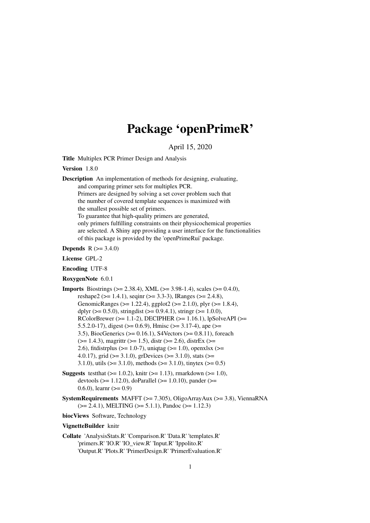## Package 'openPrimeR'

April 15, 2020

Title Multiplex PCR Primer Design and Analysis

Version 1.8.0

Description An implementation of methods for designing, evaluating, and comparing primer sets for multiplex PCR. Primers are designed by solving a set cover problem such that the number of covered template sequences is maximized with the smallest possible set of primers. To guarantee that high-quality primers are generated, only primers fulfilling constraints on their physicochemical properties are selected. A Shiny app providing a user interface for the functionalities of this package is provided by the 'openPrimeRui' package.

**Depends**  $R (= 3.4.0)$ 

License GPL-2

Encoding UTF-8

RoxygenNote 6.0.1

**Imports** Biostrings ( $>= 2.38.4$ ), XML ( $>= 3.98-1.4$ ), scales ( $>= 0.4.0$ ), reshape2 (>= 1.4.1), seqinr (>= 3.3-3), IRanges (>= 2.4.8), GenomicRanges (>= 1.22.4), ggplot2 (>= 2.1.0), plyr (>= 1.8.4), dplyr ( $> = 0.5.0$ ), stringdist ( $> = 0.9.4.1$ ), stringr ( $> = 1.0.0$ ), RColorBrewer ( $>= 1.1-2$ ), DECIPHER ( $>= 1.16.1$ ), lpSolveAPI ( $>=$ 5.5.2.0-17), digest ( $> = 0.6.9$ ), Hmisc ( $> = 3.17-4$ ), ape ( $> =$ 3.5), BiocGenerics (>= 0.16.1), S4Vectors (>= 0.8.11), foreach  $(>= 1.4.3)$ , magrittr  $(>= 1.5)$ , distr $(>= 2.6)$ , distr $Ex$  ( $>= 1.4.3$ ) 2.6), fitdistrplus ( $>= 1.0-7$ ), uniqtag ( $>= 1.0$ ), openxlsx ( $>= 1.0$ 4.0.17), grid ( $>= 3.1.0$ ), grDevices ( $>= 3.1.0$ ), stats ( $>=$ 3.1.0), utils ( $> = 3.1.0$ ), methods ( $> = 3.1.0$ ), tinytex ( $> = 0.5$ )

- **Suggests** test that  $(>= 1.0.2)$ , knitr  $(>= 1.13)$ , rmarkdown  $(>= 1.0)$ , devtools ( $>= 1.12.0$ ), doParallel ( $>= 1.0.10$ ), pander ( $>=$ 0.6.0), learnr  $(>= 0.9)$
- SystemRequirements MAFFT ( $>= 7.305$ ), OligoArrayAux ( $>= 3.8$ ), ViennaRNA  $(>= 2.4.1)$ , MELTING  $(>= 5.1.1)$ , Pandoc  $(>= 1.12.3)$

biocViews Software, Technology

VignetteBuilder knitr

Collate 'AnalysisStats.R' 'Comparison.R' 'Data.R' 'templates.R' 'primers.R' 'IO.R' 'IO\_view.R' 'Input.R' 'Ippolito.R' 'Output.R' 'Plots.R' 'PrimerDesign.R' 'PrimerEvaluation.R'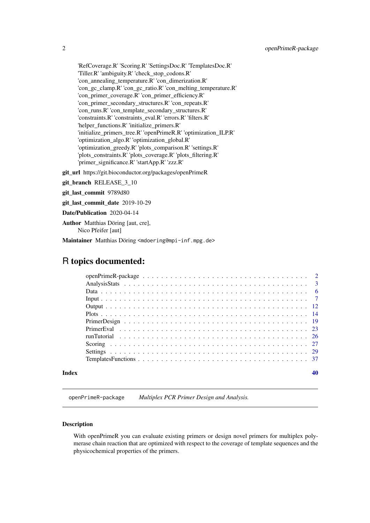'RefCoverage.R' 'Scoring.R' 'SettingsDoc.R' 'TemplatesDoc.R' 'Tiller.R' 'ambiguity.R' 'check\_stop\_codons.R' 'con\_annealing\_temperature.R' 'con\_dimerization.R' 'con\_gc\_clamp.R' 'con\_gc\_ratio.R' 'con\_melting\_temperature.R' 'con\_primer\_coverage.R' 'con\_primer\_efficiency.R' 'con\_primer\_secondary\_structures.R' 'con\_repeats.R' 'con\_runs.R' 'con\_template\_secondary\_structures.R' 'constraints.R' 'constraints\_eval.R' 'errors.R' 'filters.R' 'helper\_functions.R' 'initialize\_primers.R' 'initialize\_primers\_tree.R' 'openPrimeR.R' 'optimization\_ILP.R' 'optimization\_algo.R' 'optimization\_global.R' 'optimization\_greedy.R' 'plots\_comparison.R' 'settings.R' 'plots\_constraints.R' 'plots\_coverage.R' 'plots\_filtering.R' 'primer\_significance.R' 'startApp.R' 'zzz.R'

git\_url https://git.bioconductor.org/packages/openPrimeR

git\_branch RELEASE\_3\_10

git\_last\_commit 9789d80

git\_last\_commit\_date 2019-10-29

Date/Publication 2020-04-14

Author Matthias Döring [aut, cre], Nico Pfeifer [aut]

Maintainer Matthias Döring <mdoering@mpi-inf.mpg.de>

## R topics documented:

## **Index a** set of the set of the set of the set of the set of the set of the set of the set of the set of the set of the set of the set of the set of the set of the set of the set of the set of the set of the set of the s

openPrimeR-package *Multiplex PCR Primer Design and Analysis.*

## Description

With openPrimeR you can evaluate existing primers or design novel primers for multiplex polymerase chain reaction that are optimized with respect to the coverage of template sequences and the physicochemical properties of the primers.

<span id="page-1-0"></span>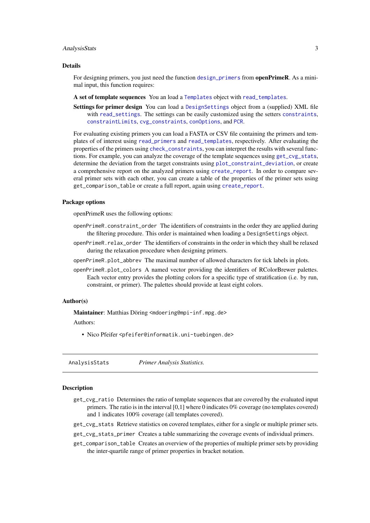#### <span id="page-2-0"></span>AnalysisStats 3

#### Details

For designing primers, you just need the function [design\\_primers](#page-18-1) from **openPrimeR**. As a minimal input, this function requires:

A set of template sequences You an load a [Templates](#page-6-1) object with [read\\_templates](#page-6-1).

Settings for primer design You can load a [DesignSettings](#page-28-1) object from a (supplied) XML file with [read\\_settings](#page-6-1). The settings can be easily customized using the setters [constraints](#page-28-1), [constraintLimits](#page-28-1), [cvg\\_constraints](#page-28-1), [conOptions](#page-28-1), and [PCR](#page-28-1).

For evaluating existing primers you can load a FASTA or CSV file containing the primers and templates of of interest using [read\\_primers](#page-6-1) and [read\\_templates](#page-6-1), respectively. After evaluating the properties of the primers using [check\\_constraints](#page-22-1), you can interpret the results with several functions. For example, you can analyze the coverage of the template sequences using [get\\_cvg\\_stats](#page-2-1), determine the deviation from the target constraints using [plot\\_constraint\\_deviation](#page-13-1), or create a comprehensive report on the analyzed primers using [create\\_report](#page-11-1). In order to compare several primer sets with each other, you can create a table of the properties of the primer sets using get\_comparison\_table or create a full report, again using [create\\_report](#page-11-1).

#### Package options

openPrimeR uses the following options:

- openPrimeR.constraint\_order The identifiers of constraints in the order they are applied during the filtering procedure. This order is maintained when loading a DesignSettings object.
- openPrimeR.relax\_order The identifiers of constraints in the order in which they shall be relaxed during the relaxation procedure when designing primers.
- openPrimeR.plot\_abbrev The maximal number of allowed characters for tick labels in plots.
- openPrimeR.plot\_colors A named vector providing the identifiers of RColorBrewer palettes. Each vector entry provides the plotting colors for a specific type of stratification (i.e. by run, constraint, or primer). The palettes should provide at least eight colors.

#### Author(s)

Maintainer: Matthias Döring <mdoering@mpi-inf.mpg.de>

Authors:

• Nico Pfeifer <pfeifer@informatik.uni-tuebingen.de>

AnalysisStats *Primer Analysis Statistics.*

#### <span id="page-2-1"></span>**Description**

- get\_cvg\_ratio Determines the ratio of template sequences that are covered by the evaluated input primers. The ratio is in the interval [0,1] where 0 indicates 0% coverage (no templates covered) and 1 indicates 100% coverage (all templates covered).
- get\_cvg\_stats Retrieve statistics on covered templates, either for a single or multiple primer sets.
- get\_cvg\_stats\_primer Creates a table summarizing the coverage events of individual primers.
- get\_comparison\_table Creates an overview of the properties of multiple primer sets by providing the inter-quartile range of primer properties in bracket notation.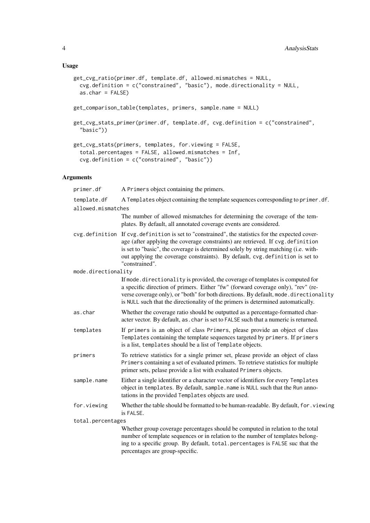## Usage

```
get_cvg_ratio(primer.df, template.df, allowed.mismatches = NULL,
  cvg.definition = c("constrained", "basic"), mode.directionality = NULL,
  as.char = FALSE)
get_comparison_table(templates, primers, sample.name = NULL)
get_cvg_stats_primer(primer.df, template.df, cvg.definition = c("constrained",
  "basic"))
get_cvg_stats(primers, templates, for.viewing = FALSE,
  total.percentages = FALSE, allowed.mismatches = Inf,
  cvg.definition = c("constrained", "basic"))
```
### Arguments

| primer.df           | A Primers object containing the primers.                                                                                                                                                                                                                                                                                                                                     |  |
|---------------------|------------------------------------------------------------------------------------------------------------------------------------------------------------------------------------------------------------------------------------------------------------------------------------------------------------------------------------------------------------------------------|--|
| template.df         | A Templates object containing the template sequences corresponding to primer.df.                                                                                                                                                                                                                                                                                             |  |
| allowed.mismatches  |                                                                                                                                                                                                                                                                                                                                                                              |  |
|                     | The number of allowed mismatches for determining the coverage of the tem-<br>plates. By default, all annotated coverage events are considered.                                                                                                                                                                                                                               |  |
|                     | cvg.definition If cvg.definition is set to "constrained", the statistics for the expected cover-<br>age (after applying the coverage constraints) are retrieved. If cvg.definition<br>is set to "basic", the coverage is determined solely by string matching (i.e. with-<br>out applying the coverage constraints). By default, cvg. definition is set to<br>"constrained". |  |
| mode.directionality |                                                                                                                                                                                                                                                                                                                                                                              |  |
|                     | If mode . directionality is provided, the coverage of templates is computed for<br>a specific direction of primers. Either "fw" (forward coverage only), "rev" (re-<br>verse coverage only), or "both" for both directions. By default, mode. directionality<br>is NULL such that the directionality of the primers is determined automatically.                             |  |
| as.char             | Whether the coverage ratio should be outputted as a percentage-formatted char-<br>acter vector. By default, as . char is set to FALSE such that a numeric is returned.                                                                                                                                                                                                       |  |
| templates           | If primers is an object of class Primers, please provide an object of class<br>Templates containing the template sequences targeted by primers. If primers<br>is a list, templates should be a list of Template objects.                                                                                                                                                     |  |
| primers             | To retrieve statistics for a single primer set, please provide an object of class<br>Primers containing a set of evaluated primers. To retrieve statistics for multiple<br>primer sets, pelase provide a list with evaluated Primers objects.                                                                                                                                |  |
| sample.name         | Either a single identifier or a character vector of identifiers for every Templates<br>object in templates. By default, sample.name is NULL such that the Run anno-<br>tations in the provided Templates objects are used.                                                                                                                                                   |  |
| for.viewing         | Whether the table should be formatted to be human-readable. By default, for . viewing<br>is FALSE.                                                                                                                                                                                                                                                                           |  |
| total.percentages   |                                                                                                                                                                                                                                                                                                                                                                              |  |
|                     | Whether group coverage percentages should be computed in relation to the total<br>number of template sequences or in relation to the number of templates belong-<br>ing to a specific group. By default, total percentages is FALSE suc that the                                                                                                                             |  |

percentages are group-specific.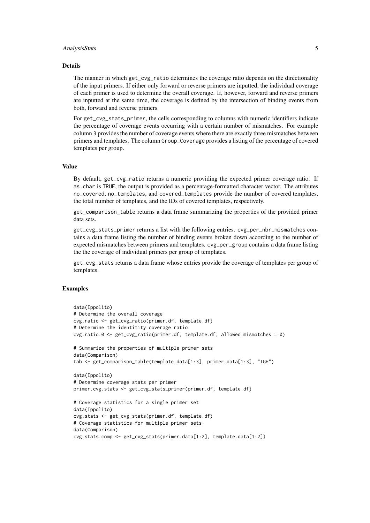#### AnalysisStats 5

#### Details

The manner in which get\_cvg\_ratio determines the coverage ratio depends on the directionality of the input primers. If either only forward or reverse primers are inputted, the individual coverage of each primer is used to determine the overall coverage. If, however, forward and reverse primers are inputted at the same time, the coverage is defined by the intersection of binding events from both, forward and reverse primers.

For get\_cvg\_stats\_primer, the cells corresponding to columns with numeric identifiers indicate the percentage of coverage events occurring with a certain number of mismatches. For example column 3 provides the number of coverage events where there are exactly three mismatches between primers and templates. The column Group\_Coverage provides a listing of the percentage of covered templates per group.

## Value

By default, get\_cvg\_ratio returns a numeric providing the expected primer coverage ratio. If as.char is TRUE, the output is provided as a percentage-formatted character vector. The attributes no\_covered, no\_templates, and covered\_templates provide the number of covered templates, the total number of templates, and the IDs of covered templates, respectively.

get\_comparison\_table returns a data frame summarizing the properties of the provided primer data sets.

get\_cvg\_stats\_primer returns a list with the following entries. cvg\_per\_nbr\_mismatches contains a data frame listing the number of binding events broken down according to the number of expected mismatches between primers and templates. cvg\_per\_group contains a data frame listing the the coverage of individual primers per group of templates.

get\_cvg\_stats returns a data frame whose entries provide the coverage of templates per group of templates.

```
data(Ippolito)
# Determine the overall coverage
cvg.ratio <- get_cvg_ratio(primer.df, template.df)
# Determine the identitity coverage ratio
cvg.ratio.0 \leq get_cvg_ratio(primer.df, template.df, allowed.mismatches = 0)
# Summarize the properties of multiple primer sets
data(Comparison)
tab <- get_comparison_table(template.data[1:3], primer.data[1:3], "IGH")
data(Ippolito)
# Determine coverage stats per primer
primer.cvg.stats <- get_cvg_stats_primer(primer.df, template.df)
# Coverage statistics for a single primer set
data(Ippolito)
cvg.stats <- get_cvg_stats(primer.df, template.df)
# Coverage statistics for multiple primer sets
data(Comparison)
cvg.stats.comp <- get_cvg_stats(primer.data[1:2], template.data[1:2])
```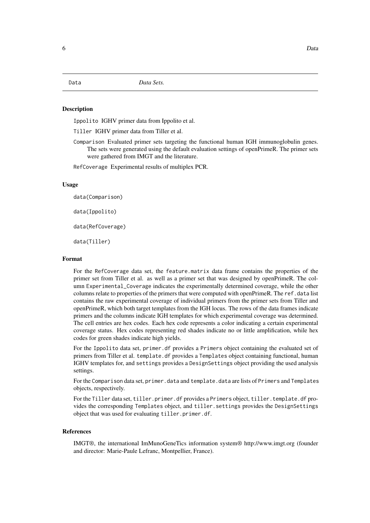<span id="page-5-0"></span>

## **Description**

Ippolito IGHV primer data from Ippolito et al.

Tiller IGHV primer data from Tiller et al.

Comparison Evaluated primer sets targeting the functional human IGH immunoglobulin genes. The sets were generated using the default evaluation settings of openPrimeR. The primer sets were gathered from IMGT and the literature.

RefCoverage Experimental results of multiplex PCR.

#### Usage

data(Comparison)

data(Ippolito)

data(RefCoverage)

data(Tiller)

#### Format

For the RefCoverage data set, the feature.matrix data frame contains the properties of the primer set from Tiller et al. as well as a primer set that was designed by openPrimeR. The column Experimental\_Coverage indicates the experimentally determined coverage, while the other columns relate to properties of the primers that were computed with openPrimeR. The ref.data list contains the raw experimental coverage of individual primers from the primer sets from Tiller and openPrimeR, which both target templates from the IGH locus. The rows of the data frames indicate primers and the columns indicate IGH templates for which experimental coverage was determined. The cell entries are hex codes. Each hex code represents a color indicating a certain experimental coverage status. Hex codes representing red shades indicate no or little amplification, while hex codes for green shades indicate high yields.

For the Ippolito data set, primer. df provides a Primers object containing the evaluated set of primers from Tiller et al. template.df provides a Templates object containing functional, human IGHV templates for, and settings provides a DesignSettings object providing the used analysis settings.

For the Comparison data set, primer.data and template.data are lists of Primers and Templates objects, respectively.

For the Tiller data set, tiller.primer.df provides a Primers object, tiller.template.df provides the corresponding Templates object, and tiller. settings provides the DesignSettings object that was used for evaluating tiller.primer.df.

## References

IMGT®, the international ImMunoGeneTics information system® http://www.imgt.org (founder and director: Marie-Paule Lefranc, Montpellier, France).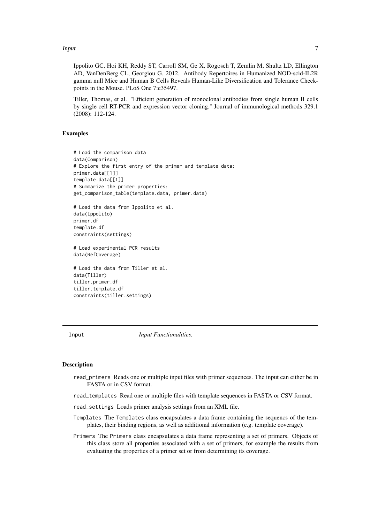<span id="page-6-0"></span>**Input** 7

Ippolito GC, Hoi KH, Reddy ST, Carroll SM, Ge X, Rogosch T, Zemlin M, Shultz LD, Ellington AD, VanDenBerg CL, Georgiou G. 2012. Antibody Repertoires in Humanized NOD-scid-IL2R gamma null Mice and Human B Cells Reveals Human-Like Diversification and Tolerance Checkpoints in the Mouse. PLoS One 7:e35497.

Tiller, Thomas, et al. "Efficient generation of monoclonal antibodies from single human B cells by single cell RT-PCR and expression vector cloning." Journal of immunological methods 329.1 (2008): 112-124.

## Examples

```
# Load the comparison data
data(Comparison)
# Explore the first entry of the primer and template data:
primer.data[[1]]
template.data[[1]]
# Summarize the primer properties:
get_comparison_table(template.data, primer.data)
# Load the data from Ippolito et al.
data(Ippolito)
primer.df
template.df
constraints(settings)
# Load experimental PCR results
data(RefCoverage)
# Load the data from Tiller et al.
data(Tiller)
tiller.primer.df
tiller.template.df
constraints(tiller.settings)
```
Input *Input Functionalities.*

#### <span id="page-6-1"></span>Description

read\_primers Reads one or multiple input files with primer sequences. The input can either be in FASTA or in CSV format.

read\_templates Read one or multiple files with template sequences in FASTA or CSV format.

read\_settings Loads primer analysis settings from an XML file.

- Templates The Templates class encapsulates a data frame containing the sequencs of the templates, their binding regions, as well as additional information (e.g. template coverage).
- Primers The Primers class encapsulates a data frame representing a set of primers. Objects of this class store all properties associated with a set of primers, for example the results from evaluating the properties of a primer set or from determining its coverage.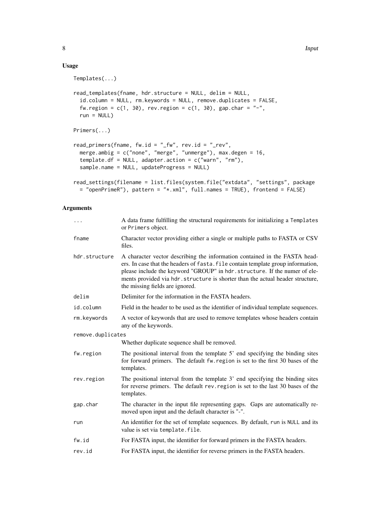## Usage

```
Templates(...)
read_templates(fname, hdr.structure = NULL, delim = NULL,
  id.column = NULL, rm.keywords = NULL, remove.duplicates = FALSE,
  fw.region = c(1, 30), rev.region = c(1, 30), gap.char = "-",
  run = NULL)Primers(...)
read_primers(fname, fw.id = "_fw", rev.id = "_rev",
  merge.ambig = c("none", "merge", "unmerge"), max.degen = 16,
  template.df = NULL, adapter.action = c("warn", "rm"),
  sample.name = NULL, updateProgress = NULL)
read_settings(filename = list.files(system.file("extdata", "settings", package
  = "openPrimeR"), pattern = "*.xml", full.names = TRUE), frontend = FALSE)
```
## Arguments

| $\cdots$          | A data frame fulfilling the structural requirements for initializing a Templates<br>or Primers object.                                                                                                                                                                                                                                                           |
|-------------------|------------------------------------------------------------------------------------------------------------------------------------------------------------------------------------------------------------------------------------------------------------------------------------------------------------------------------------------------------------------|
| fname             | Character vector providing either a single or multiple paths to FASTA or CSV<br>files.                                                                                                                                                                                                                                                                           |
| hdr.structure     | A character vector describing the information contained in the FASTA head-<br>ers. In case that the headers of fasta. file contain template group information,<br>please include the keyword "GROUP" in hdr.structure. If the numer of ele-<br>ments provided via hdr. structure is shorter than the actual header structure,<br>the missing fields are ignored. |
| delim             | Delimiter for the information in the FASTA headers.                                                                                                                                                                                                                                                                                                              |
| id.column         | Field in the header to be used as the identifier of individual template sequences.                                                                                                                                                                                                                                                                               |
| rm.keywords       | A vector of keywords that are used to remove templates whose headers contain<br>any of the keywords.                                                                                                                                                                                                                                                             |
| remove.duplicates |                                                                                                                                                                                                                                                                                                                                                                  |
|                   | Whether duplicate sequence shall be removed.                                                                                                                                                                                                                                                                                                                     |
| fw.region         | The positional interval from the template 5' end specifying the binding sites<br>for forward primers. The default fw. region is set to the first 30 bases of the<br>templates.                                                                                                                                                                                   |
| rev.region        | The positional interval from the template 3' end specifying the binding sites<br>for reverse primers. The default rev. region is set to the last 30 bases of the<br>templates.                                                                                                                                                                                   |
| gap.char          | The character in the input file representing gaps. Gaps are automatically re-<br>moved upon input and the default character is "-".                                                                                                                                                                                                                              |
| run               | An identifier for the set of template sequences. By default, run is NULL and its<br>value is set via template. file.                                                                                                                                                                                                                                             |
| fw.id             | For FASTA input, the identifier for forward primers in the FASTA headers.                                                                                                                                                                                                                                                                                        |
| rev.id            | For FASTA input, the identifier for reverse primers in the FASTA headers.                                                                                                                                                                                                                                                                                        |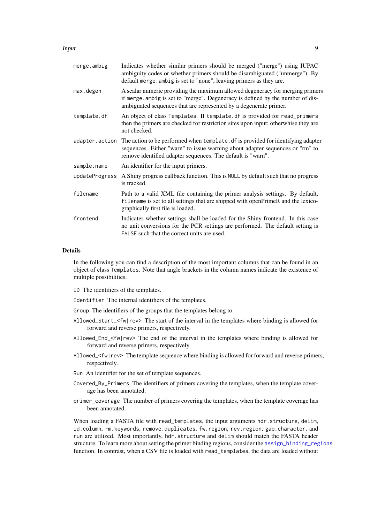#### <span id="page-8-0"></span>Input 9

| Indicates whether similar primers should be merged ("merge") using IUPAC<br>ambiguity codes or whether primers should be disambiguated ("unmerge"). By<br>default merge. ambig is set to "none", leaving primers as they are.        |
|--------------------------------------------------------------------------------------------------------------------------------------------------------------------------------------------------------------------------------------|
| A scalar numeric providing the maximum allowed degeneracy for merging primers<br>if merge. ambig is set to "merge". Degeneracy is defined by the number of dis-<br>ambiguated sequences that are represented by a degenerate primer. |
| An object of class Templates. If template. df is provided for read_primers<br>then the primers are checked for restriction sites upon input; otherwhise they are<br>not checked.                                                     |
| The action to be performed when template. df is provided for identifying adapter<br>sequences. Either "warn" to issue warning about adapter sequences or "rm" to<br>remove identified adapter sequences. The default is "warn".      |
| An identifier for the input primers.                                                                                                                                                                                                 |
| A Shiny progress callback function. This is NULL by default such that no progress<br>is tracked.                                                                                                                                     |
| Path to a valid XML file containing the primer analysis settings. By default,<br>filename is set to all settings that are shipped with openPrimeR and the lexico-<br>graphically first file is loaded.                               |
| Indicates whether settings shall be loaded for the Shiny frontend. In this case<br>no unit conversions for the PCR settings are performed. The default setting is<br>FALSE such that the correct units are used.                     |
|                                                                                                                                                                                                                                      |

## Details

In the following you can find a description of the most important columns that can be found in an object of class Templates. Note that angle brackets in the column names indicate the existence of multiple possibilities.

ID The identifiers of the templates.

Identifier The internal identifiers of the templates.

- Group The identifiers of the groups that the templates belong to.
- Allowed\_Start\_<fw|rev> The start of the interval in the templates where binding is allowed for forward and reverse primers, respectively.
- Allowed End  $\leq$  fw|rev> The end of the interval in the templates where binding is allowed for forward and reverse primers, respectively.
- Allowed\_<fw|rev> The template sequence where binding is allowed for forward and reverse primers, respectively.
- Run An identifier for the set of template sequences.
- Covered\_By\_Primers The identifiers of primers covering the templates, when the template coverage has been annotated.
- primer\_coverage The number of primers covering the templates, when the template coverage has been annotated.

When loading a FASTA file with read\_templates, the input arguments hdr.structure, delim, id.column, rm.keywords, remove.duplicates, fw.region, rev.region, gap.character, and run are utilized. Most importantly, hdr.structure and delim should match the FASTA header structure. To learn more about setting the primer binding regions, consider the [assign\\_binding\\_regions](#page-36-1) function. In contrast, when a CSV file is loaded with read\_templates, the data are loaded without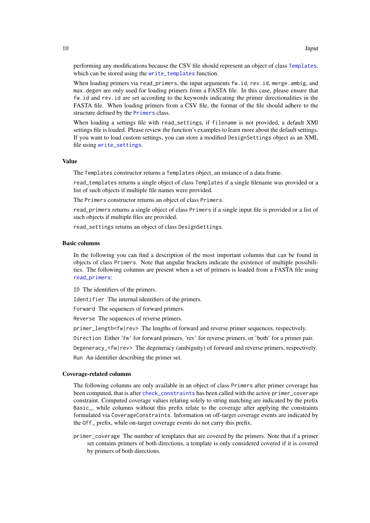performing any modifications because the CSV file should represent an object of class [Templates](#page-6-1), which can be stored using the [write\\_templates](#page-11-1) function.

When loading primers via read\_primers, the input arguments fw.id, rev.id, merge.ambig, and max.degen are only used for loading primers from a FASTA file. In this case, please ensure that fw.id and rev.id are set according to the keywords indicating the primer directionalities in the FASTA file. When loading primers from a CSV file, the format of the file should adhere to the structure defined by the [Primers](#page-6-1) class.

When loading a settings file with read\_settings, if filename is not provided, a default XMl settings file is loaded. Please review the function's examples to learn more about the default settings. If you want to load custom settings, you can store a modified DesignSettings object as an XML file using [write\\_settings](#page-11-1).

#### Value

The Templates constructor returns a Templates object, an instance of a data frame.

read\_templates returns a single object of class Templates if a single filename was provided or a list of such objects if multiple file names were provided.

The Primers constructor returns an object of class Primers.

read\_primers returns a single object of class Primers if a single input file is provided or a list of such objects if multiple files are provided.

read\_settings returns an object of class DesignSettings.

#### Basic columns

In the following you can find a description of the most important columns that can be found in objects of class Primers. Note that angular brackets indicate the existence of multiple possibilities. The following columns are present when a set of primers is loaded from a FASTA file using [read\\_primers](#page-6-1):

ID The identifiers of the primers.

Identifier The internal identifiers of the primers.

Forward The sequences of forward primers.

Reverse The sequences of reverse primers.

primer\_length<fw|rev> The lengths of forward and reverse primer sequences, respectively.

Direction Either 'fw' for forward primers, 'rev' for reverse primers, or 'both' for a primer pair.

Degeneracy\_<fw|rev> The degeneracy (ambiguity) of forward and reverse primers, respectively. Run An identifier describing the primer set.

#### Coverage-related columns

The following columns are only available in an object of class Primers after primer coverage has been computed, that is after [check\\_constraints](#page-22-1) has been called with the active primer\_coverage constraint. Computed coverage values relating solely to string matching are indicated by the prefix Basic\_, while columns without this prefix relate to the coverage after applying the constraints formulated via CoverageConstraints. Information on off-target coverage events are indicated by the Off\_ prefix, while on-target coverage events do not carry this prefix.

primer\_coverage The number of templates that are covered by the primers. Note that if a primer set contains primers of both directions, a template is only considered covered if it is covered by primers of both directions.

<span id="page-9-0"></span>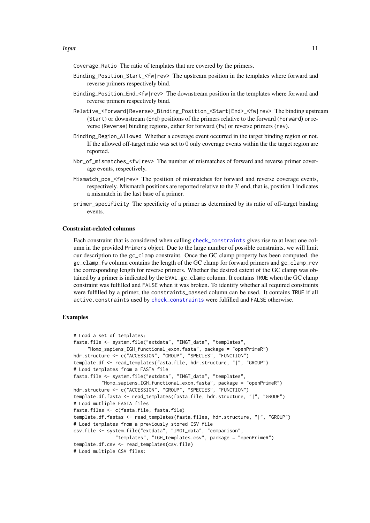<span id="page-10-0"></span>Coverage\_Ratio The ratio of templates that are covered by the primers.

- Binding\_Position\_Start\_<fw|rev> The upstream position in the templates where forward and reverse primers respectively bind.
- Binding\_Position\_End\_<fw|rev> The downstream position in the templates where forward and reverse primers respectively bind.
- Relative\_<Forward|Reverse>\_Binding\_Position\_<Start|End>\_<fw|rev> The binding upstream (Start) or downstream (End) positions of the primers relative to the forward (Forward) or reverse (Reverse) binding regions, either for forward (fw) or reverse primers (rev).
- Binding\_Region\_Allowed Whether a coverage event occurred in the target binding region or not. If the allowed off-target ratio was set to 0 only coverage events within the the target region are reported.
- Nbr\_of\_mismatches\_<fw|rev> The number of mismatches of forward and reverse primer coverage events, respectively.
- Mismatch\_pos\_<fw|rev> The position of mismatches for forward and reverse coverage events, respectively. Mismatch positions are reported relative to the 3' end, that is, position 1 indicates a mismatch in the last base of a primer.
- primer\_specificity The specificity of a primer as determined by its ratio of off-target binding events.

## Constraint-related columns

Each constraint that is considered when calling [check\\_constraints](#page-22-1) gives rise to at least one column in the provided Primers object. Due to the large number of possible constraints, we will limit our description to the gc\_clamp constraint. Once the GC clamp property has been computed, the gc\_clamp\_fw column contains the length of the GC clamp for forward primers and gc\_clamp\_rev the corresponding length for reverse primers. Whether the desired extent of the GC clamp was obtained by a primer is indicated by the EVAL\_gc\_clamp column. It contains TRUE when the GC clamp constraint was fulfilled and FALSE when it was broken. To identify whether all required constraints were fulfilled by a primer, the constraints\_passed column can be used. It contains TRUE if all active.constraints used by [check\\_constraints](#page-22-1) were fulfilled and FALSE otherwise.

```
# Load a set of templates:
fasta.file <- system.file("extdata", "IMGT_data", "templates",
     "Homo_sapiens_IGH_functional_exon.fasta", package = "openPrimeR")
hdr.structure <- c("ACCESSION", "GROUP", "SPECIES", "FUNCTION")
template.df <- read_templates(fasta.file, hdr.structure, "|", "GROUP")
# Load templates from a FASTA file
fasta.file <- system.file("extdata", "IMGT_data", "templates",
          "Homo_sapiens_IGH_functional_exon.fasta", package = "openPrimeR")
hdr.structure <- c("ACCESSION", "GROUP", "SPECIES", "FUNCTION")
template.df.fasta <- read_templates(fasta.file, hdr.structure, "|", "GROUP")
# Load mutliple FASTA files
fasta.files <- c(fasta.file, fasta.file)
template.df.fastas <- read_templates(fasta.files, hdr.structure, "|", "GROUP")
# Load templates from a previously stored CSV file
csv.file <- system.file("extdata", "IMGT_data", "comparison",
               "templates", "IGH_templates.csv", package = "openPrimeR")
template.df.csv <- read_templates(csv.file)
# Load multiple CSV files:
```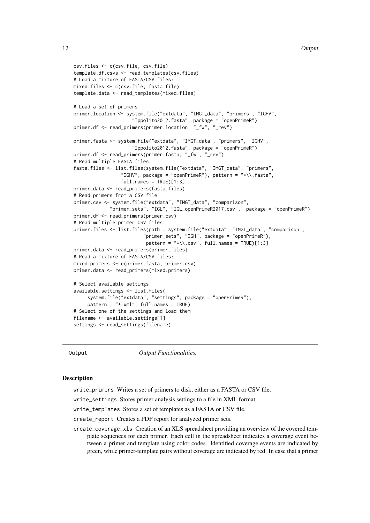```
csv.files <- c(csv.file, csv.file)
template.df.csvs <- read_templates(csv.files)
# Load a mixture of FASTA/CSV files:
mixed.files <- c(csv.file, fasta.file)
template.data <- read_templates(mixed.files)
# Load a set of primers
primer.location <- system.file("extdata", "IMGT_data", "primers", "IGHV",
                     "Ippolito2012.fasta", package = "openPrimeR")
primer.df <- read_primers(primer.location, "_fw", "_rev")
primer.fasta <- system.file("extdata", "IMGT_data", "primers", "IGHV",
                     "Ippolito2012.fasta", package = "openPrimeR")
primer.df <- read_primers(primer.fasta, "_fw", "_rev")
# Read multiple FASTA files
fasta.files <- list.files(system.file("extdata", "IMGT_data", "primers",
                 "IGHV", package = "openPrimeR"), pattern = "\star\wedge\ldots\text{fasta}",
                 full.name = TRUE[1:3]primer.data <- read_primers(fasta.files)
# Read primers from a CSV file
primer.csv <- system.file("extdata", "IMGT_data", "comparison",
             "primer_sets", "IGL", "IGL_openPrimeR2017.csv", package = "openPrimeR")
primer.df <- read_primers(primer.csv)
# Read multiple primer CSV files
primer.files <- list.files(path = system.file("extdata", "IMGT_data", "comparison",
                         "primer_sets", "IGH", package = "openPrimeR"),
                          pattern = "*\\.csv", full.names = TRUE)[1:3]
primer.data <- read_primers(primer.files)
# Read a mixture of FASTA/CSV files:
mixed.primers <- c(primer.fasta, primer.csv)
primer.data <- read_primers(mixed.primers)
# Select available settings
available.settings <- list.files(
     system.file("extdata", "settings", package = "openPrimeR"),
     pattern = "*.xml", full.name = TRUE)# Select one of the settings and load them
filename <- available.settings[1]
settings <- read_settings(filename)
```
Output *Output Functionalities.*

#### <span id="page-11-1"></span>**Description**

write\_primers Writes a set of primers to disk, either as a FASTA or CSV file.

write\_settings Stores primer analysis settings to a file in XML format.

write\_templates Stores a set of templates as a FASTA or CSV file.

create\_report Creates a PDF report for analyzed primer sets.

create\_coverage\_xls Creation of an XLS spreadsheet providing an overview of the covered template sequences for each primer. Each cell in the spreadsheet indicates a coverage event between a primer and template using color codes. Identified coverage events are indicated by green, while primer-template pairs without coverage are indicated by red. In case that a primer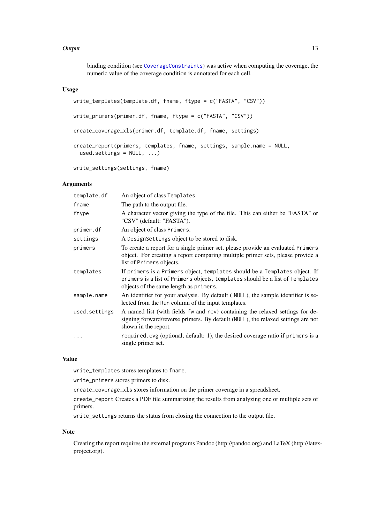#### <span id="page-12-0"></span>Output 2008 and 2008 and 2008 and 2008 and 2008 and 2008 and 2008 and 2008 and 2008 and 2008 and 2008 and 2008

binding condition (see [CoverageConstraints](#page-28-1)) was active when computing the coverage, the numeric value of the coverage condition is annotated for each cell.

## Usage

```
write_templates(template.df, fname, ftype = c("FASTA", "CSV"))
write_primers(primer.df, fname, ftype = c("FASTA", "CSV"))
create_coverage_xls(primer.df, template.df, fname, settings)
create_report(primers, templates, fname, settings, sample.name = NULL,
 used.settings = NULL, ...)
```
write\_settings(settings, fname)

## Arguments

| template.df   | An object of class Templates.                                                                                                                                                                         |
|---------------|-------------------------------------------------------------------------------------------------------------------------------------------------------------------------------------------------------|
| fname         | The path to the output file.                                                                                                                                                                          |
| ftype         | A character vector giving the type of the file. This can either be "FASTA" or<br>"CSV" (default: "FASTA").                                                                                            |
| primer.df     | An object of class Primers.                                                                                                                                                                           |
| settings      | A DesignSettings object to be stored to disk.                                                                                                                                                         |
| primers       | To create a report for a single primer set, please provide an evaluated Primers<br>object. For creating a report comparing multiple primer sets, please provide a<br>list of Primers objects.         |
| templates     | If primers is a Primers object, templates should be a Templates object. If<br>primers is a list of Primers objects, templates should be a list of Templates<br>objects of the same length as primers. |
| sample.name   | An identifier for your analysis. By default (NULL), the sample identifier is se-<br>lected from the Run column of the input templates.                                                                |
| used.settings | A named list (with fields fw and rev) containing the relaxed settings for de-<br>signing forward/reverse primers. By default (NULL), the relaxed settings are not<br>shown in the report.             |
| $\cdots$      | required.cvg (optional, default: 1), the desired coverage ratio if primers is a<br>single primer set.                                                                                                 |
|               |                                                                                                                                                                                                       |

## Value

write\_templates stores templates to fname.

write\_primers stores primers to disk.

create\_coverage\_xls stores information on the primer coverage in a spreadsheet.

create\_report Creates a PDF file summarizing the results from analyzing one or multiple sets of primers.

write\_settings returns the status from closing the connection to the output file.

## Note

Creating the report requires the external programs Pandoc (http://pandoc.org) and LaTeX (http://latexproject.org).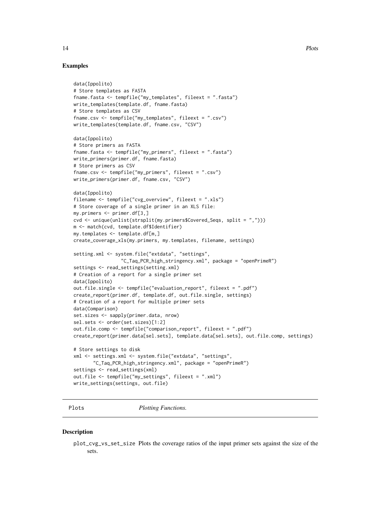## Examples

```
data(Ippolito)
# Store templates as FASTA
fname.fasta <- tempfile("my_templates", fileext = ".fasta")
write_templates(template.df, fname.fasta)
# Store templates as CSV
fname.csv <- tempfile("my_templates", fileext = ".csv")
write_templates(template.df, fname.csv, "CSV")
data(Ippolito)
# Store primers as FASTA
fname.fasta <- tempfile("my_primers", fileext = ".fasta")
write_primers(primer.df, fname.fasta)
# Store primers as CSV
fname.csv <- tempfile("my_primers", fileext = ".csv")
write_primers(primer.df, fname.csv, "CSV")
data(Ippolito)
filename <- tempfile("cvg_overview", fileext = ".xls")
# Store coverage of a single primer in an XLS file:
my.primers <- primer.df[3,]
cvd <- unique(unlist(strsplit(my.primers$Covered_Seqs, split = ",")))
m <- match(cvd, template.df$Identifier)
my.templates <- template.df[m,]
create_coverage_xls(my.primers, my.templates, filename, settings)
setting.xml <- system.file("extdata", "settings",
                 "C_Taq_PCR_high_stringency.xml", package = "openPrimeR")
settings <- read_settings(setting.xml)
# Creation of a report for a single primer set
data(Ippolito)
out.file.single <- tempfile("evaluation_report", fileext = ".pdf")
create_report(primer.df, template.df, out.file.single, settings)
# Creation of a report for multiple primer sets
data(Comparison)
set.sizes <- sapply(primer.data, nrow)
sel.sets <- order(set.sizes)[1:2]
out.file.comp <- tempfile("comparison_report", fileext = ".pdf")
create_report(primer.data[sel.sets], template.data[sel.sets], out.file.comp, settings)
# Store settings to disk
xml <- settings.xml <- system.file("extdata", "settings",
       "C_Taq_PCR_high_stringency.xml", package = "openPrimeR")
settings <- read_settings(xml)
out.file <- tempfile("my_settings", fileext = ".xml")
write_settings(settings, out.file)
```
Plots *Plotting Functions.*

#### <span id="page-13-1"></span>Description

plot\_cvg\_vs\_set\_size Plots the coverage ratios of the input primer sets against the size of the sets.

<span id="page-13-0"></span>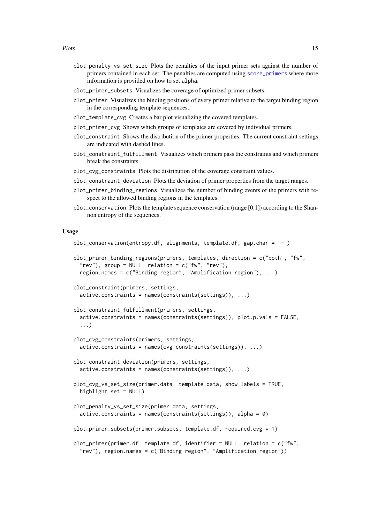- <span id="page-14-0"></span>plot\_penalty\_vs\_set\_size Plots the penalties of the input primer sets against the number of primers contained in each set. The penalties are computed using [score\\_primers](#page-26-1) where more information is provided on how to set alpha.
- plot\_primer\_subsets Visualizes the coverage of optimized primer subsets.
- plot\_primer Visualizes the binding positions of every primer relative to the target binding region in the corresponding template sequences.
- plot\_template\_cvg Creates a bar plot visualizing the covered templates.
- plot\_primer\_cvg Shows which groups of templates are covered by individual primers.
- plot\_constraint Shows the distribution of the primer properties. The current constraint settings are indicated with dashed lines.
- plot\_constraint\_fulfillment Visualizes which primers pass the constraints and which primers break the constraints
- plot\_cvg\_constraints Plots the distribution of the coverage constraint values.
- plot constraint deviation Plots the deviation of primer properties from the target ranges.
- plot\_primer\_binding\_regions Visualizes the number of binding events of the primers with respect to the allowed binding regions in the templates.
- plot\_conservation Plots the template sequence conservation (range  $[0,1]$ ) according to the Shannon entropy of the sequences.

#### Usage

```
plot_conservation(entropy.df, alignments, template.df, gap.char = "-")
plot_primer_binding_regions(primers, templates, direction = c("both", "fw",
  "rev"), group = NULL, relation = c("fw", "rev"),
  region.names = c("Binding region", "Amplification region"), ...)
plot_constraint(primers, settings,
  active.constraints = names(constraints(settings)), ...)
plot_constraint_fulfillment(primers, settings,
  active.constraints = names(constraints(settings)), plot.p.vals = FALSE,
  ...)
plot_cvg_constraints(primers, settings,
  active.constraints = names(cvg_constraints(settings)), ...)
plot_constraint_deviation(primers, settings,
  active.constraints = names(constraints(settings)), ...)
plot_cvg_vs_set_size(primer.data, template.data, show.labels = TRUE,
  highlight.set = NULL)
plot_penalty_vs_set_size(primer.data, settings,
  active.\text{constraints} = names(\text{constraints}(\text{settings})), \text{ alpha} = 0)plot_primer_subsets(primer.subsets, template.df, required.cvg = 1)
plot_primer(primer.df, template.df, identifier = NULL, relation = c("fw",
  "rev"), region.names = c("Binding region", "Amplification region"))
```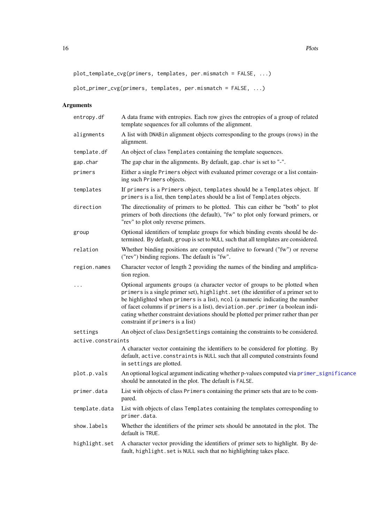```
plot_template_cvg(primers, templates, per.mismatch = FALSE, ...)
```

```
plot_primer_cvg(primers, templates, per.mismatch = FALSE, ...)
```
## Arguments

| entropy.df         | A data frame with entropies. Each row gives the entropies of a group of related<br>template sequences for all columns of the alignment.                                                                                                                                                                                                                                                                                                                    |
|--------------------|------------------------------------------------------------------------------------------------------------------------------------------------------------------------------------------------------------------------------------------------------------------------------------------------------------------------------------------------------------------------------------------------------------------------------------------------------------|
| alignments         | A list with DNABin alignment objects corresponding to the groups (rows) in the<br>alignment.                                                                                                                                                                                                                                                                                                                                                               |
| template.df        | An object of class Templates containing the template sequences.                                                                                                                                                                                                                                                                                                                                                                                            |
| gap.char           | The gap char in the alignments. By default, gap. char is set to "-".                                                                                                                                                                                                                                                                                                                                                                                       |
| primers            | Either a single Primers object with evaluated primer coverage or a list contain-<br>ing such Primers objects.                                                                                                                                                                                                                                                                                                                                              |
| templates          | If primers is a Primers object, templates should be a Templates object. If<br>primers is a list, then templates should be a list of Templates objects.                                                                                                                                                                                                                                                                                                     |
| direction          | The directionality of primers to be plotted. This can either be "both" to plot<br>primers of both directions (the default), "fw" to plot only forward primers, or<br>"rev" to plot only reverse primers.                                                                                                                                                                                                                                                   |
| group              | Optional identifiers of template groups for which binding events should be de-<br>termined. By default, group is set to NULL such that all templates are considered.                                                                                                                                                                                                                                                                                       |
| relation           | Whether binding positions are computed relative to forward ("fw") or reverse<br>("rev") binding regions. The default is "fw".                                                                                                                                                                                                                                                                                                                              |
| region.names       | Character vector of length 2 providing the names of the binding and amplifica-<br>tion region.                                                                                                                                                                                                                                                                                                                                                             |
|                    | Optional arguments groups (a character vector of groups to be plotted when<br>primers is a single primer set), highlight.set (the identifier of a primer set to<br>be highlighted when primers is a list), ncol (a numeric indicating the number<br>of facet columns if primers is a list), deviation.per.primer (a boolean indi-<br>cating whether constraint deviations should be plotted per primer rather than per<br>constraint if primers is a list) |
| settings           | An object of class DesignSettings containing the constraints to be considered.                                                                                                                                                                                                                                                                                                                                                                             |
| active.constraints |                                                                                                                                                                                                                                                                                                                                                                                                                                                            |
|                    | A character vector containing the identifiers to be considered for plotting. By<br>default, active. constraints is NULL such that all computed constraints found<br>in settings are plotted.                                                                                                                                                                                                                                                               |
| plot.p.vals        | An optional logical argument indicating whether p-values computed via primer_significance<br>should be annotated in the plot. The default is FALSE.                                                                                                                                                                                                                                                                                                        |
| primer.data        | List with objects of class Primers containing the primer sets that are to be com-<br>pared.                                                                                                                                                                                                                                                                                                                                                                |
| template.data      | List with objects of class Templates containing the templates corresponding to<br>primer.data.                                                                                                                                                                                                                                                                                                                                                             |
| show.labels        | Whether the identifiers of the primer sets should be annotated in the plot. The<br>default is TRUE.                                                                                                                                                                                                                                                                                                                                                        |
| highlight.set      | A character vector providing the identifiers of primer sets to highlight. By de-<br>fault, highlight. set is NULL such that no highlighting takes place.                                                                                                                                                                                                                                                                                                   |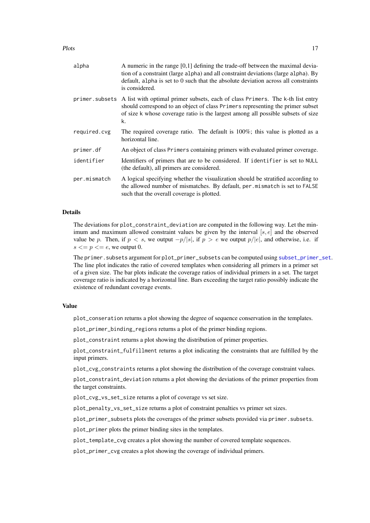#### <span id="page-16-0"></span>Plots and the set of the set of the set of the set of the set of the set of the set of the set of the set of the set of the set of the set of the set of the set of the set of the set of the set of the set of the set of the

| alpha        | A numeric in the range $[0,1]$ defining the trade-off between the maximal devia-<br>tion of a constraint (large alpha) and all constraint deviations (large alpha). By<br>default, alpha is set to 0 such that the absolute deviation across all constraints<br>is considered. |
|--------------|--------------------------------------------------------------------------------------------------------------------------------------------------------------------------------------------------------------------------------------------------------------------------------|
|              | primer subsets A list with optimal primer subsets, each of class Primers. The k-th list entry<br>should correspond to an object of class Primers representing the primer subset<br>of size k whose coverage ratio is the largest among all possible subsets of size<br>k.      |
| required.cvg | The required coverage ratio. The default is $100\%$ ; this value is plotted as a<br>horizontal line.                                                                                                                                                                           |
| primer.df    | An object of class Primers containing primers with evaluated primer coverage.                                                                                                                                                                                                  |
| identifier   | Identifiers of primers that are to be considered. If identifier is set to NULL<br>(the default), all primers are considered.                                                                                                                                                   |
| per.mismatch | A logical specifying whether the visualization should be stratified according to<br>the allowed number of mismatches. By default, per mismatch is set to FALSE<br>such that the overall coverage is plotted.                                                                   |

#### Details

The deviations for plot\_constraint\_deviation are computed in the following way. Let the minimum and maximum allowed constraint values be given by the interval  $[s, e]$  and the observed value be p. Then, if  $p < s$ , we output  $-p/|s|$ , if  $p > e$  we output  $p/|e|$ , and otherwise, i.e. if  $s \leq p \leq e$ , we output 0.

The primer.subsets argument for plot\_primer\_subsets can be computed using [subset\\_primer\\_set](#page-22-1). The line plot indicates the ratio of covered templates when considering all primers in a primer set of a given size. The bar plots indicate the coverage ratios of individual primers in a set. The target coverage ratio is indicated by a horizontal line. Bars exceeding the target ratio possibly indicate the existence of redundant coverage events.

## Value

plot\_conseration returns a plot showing the degree of sequence conservation in the templates.

plot\_primer\_binding\_regions returns a plot of the primer binding regions.

plot\_constraint returns a plot showing the distribution of primer properties.

plot\_constraint\_fulfillment returns a plot indicating the constraints that are fulfilled by the input primers.

plot\_cvg\_constraints returns a plot showing the distribution of the coverage constraint values.

plot\_constraint\_deviation returns a plot showing the deviations of the primer properties from the target constraints.

plot\_cvg\_vs\_set\_size returns a plot of coverage vs set size.

plot\_penalty\_vs\_set\_size returns a plot of constraint penalties vs primer set sizes.

plot\_primer\_subsets plots the coverages of the primer subsets provided via primer.subsets.

plot\_primer plots the primer binding sites in the templates.

plot\_template\_cvg creates a plot showing the number of covered template sequences.

plot\_primer\_cvg creates a plot showing the coverage of individual primers.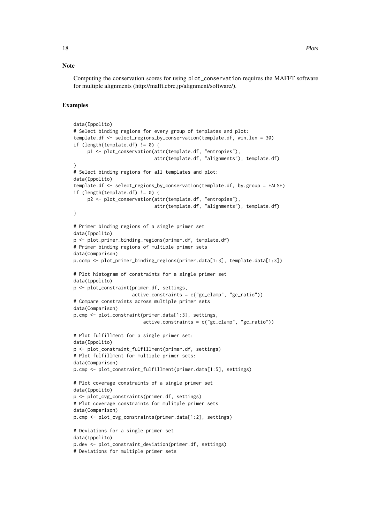#### Note

Computing the conservation scores for using plot\_conservation requires the MAFFT software for multiple alignments (http://mafft.cbrc.jp/alignment/software/).

```
data(Ippolito)
# Select binding regions for every group of templates and plot:
template.df <- select_regions_by_conservation(template.df, win.len = 30)
if (length(template.df) != 0) {
     p1 <- plot_conservation(attr(template.df, "entropies"),
                             attr(template.df, "alignments"), template.df)
}
# Select binding regions for all templates and plot:
data(Ippolito)
template.df <- select_regions_by_conservation(template.df, by.group = FALSE)
if (length(template.df) != 0) {
     p2 <- plot_conservation(attr(template.df, "entropies"),
                             attr(template.df, "alignments"), template.df)
}
# Primer binding regions of a single primer set
data(Ippolito)
p <- plot_primer_binding_regions(primer.df, template.df)
# Primer binding regions of multiple primer sets
data(Comparison)
p.comp <- plot_primer_binding_regions(primer.data[1:3], template.data[1:3])
# Plot histogram of constraints for a single primer set
data(Ippolito)
p <- plot_constraint(primer.df, settings,
                     active.\text{constructs} = c("gc\_clamp", "gc\_ratio"))# Compare constraints across multiple primer sets
data(Comparison)
p.cmp <- plot_constraint(primer.data[1:3], settings,
                         active.constraints = c("gc_clamp", "gc_ratio"))
# Plot fulfillment for a single primer set:
data(Ippolito)
p <- plot_constraint_fulfillment(primer.df, settings)
# Plot fulfillment for multiple primer sets:
data(Comparison)
p.cmp <- plot_constraint_fulfillment(primer.data[1:5], settings)
# Plot coverage constraints of a single primer set
data(Ippolito)
p <- plot_cvg_constraints(primer.df, settings)
# Plot coverage constraints for mulitple primer sets
data(Comparison)
p.cmp <- plot_cvg_constraints(primer.data[1:2], settings)
# Deviations for a single primer set
data(Ippolito)
p.dev <- plot_constraint_deviation(primer.df, settings)
# Deviations for multiple primer sets
```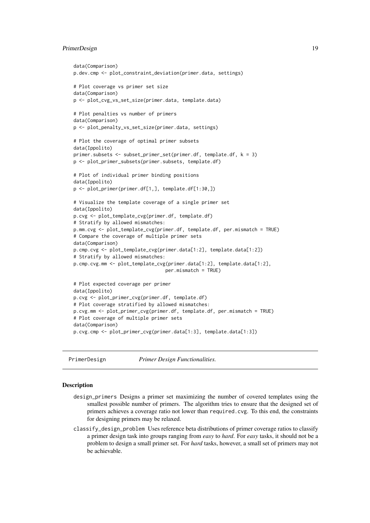#### <span id="page-18-0"></span>PrimerDesign 19

```
data(Comparison)
p.dev.cmp <- plot_constraint_deviation(primer.data, settings)
# Plot coverage vs primer set size
data(Comparison)
p <- plot_cvg_vs_set_size(primer.data, template.data)
# Plot penalties vs number of primers
data(Comparison)
p <- plot_penalty_vs_set_size(primer.data, settings)
# Plot the coverage of optimal primer subsets
data(Ippolito)
primer.subsets <- subset_primer_set(primer.df, template.df, k = 3)
p <- plot_primer_subsets(primer.subsets, template.df)
# Plot of individual primer binding positions
data(Ippolito)
p <- plot_primer(primer.df[1,], template.df[1:30,])
# Visualize the template coverage of a single primer set
data(Ippolito)
p.cvg <- plot_template_cvg(primer.df, template.df)
# Stratify by allowed mismatches:
p.mm.cvg <- plot_template_cvg(primer.df, template.df, per.mismatch = TRUE)
# Compare the coverage of multiple primer sets
data(Comparison)
p.cmp.cvg <- plot_template_cvg(primer.data[1:2], template.data[1:2])
# Stratify by allowed mismatches:
p.cmp.cvg.mm <- plot_template_cvg(primer.data[1:2], template.data[1:2],
                                 per.mismatch = TRUE)
# Plot expected coverage per primer
data(Ippolito)
p.cvg <- plot_primer_cvg(primer.df, template.df)
# Plot coverage stratified by allowed mismatches:
p.cvg.mm <- plot_primer_cvg(primer.df, template.df, per.mismatch = TRUE)
# Plot coverage of multiple primer sets
data(Comparison)
p.cvg.cmp <- plot_primer_cvg(primer.data[1:3], template.data[1:3])
```
PrimerDesign *Primer Design Functionalities.*

#### <span id="page-18-1"></span>Description

- design\_primers Designs a primer set maximizing the number of covered templates using the smallest possible number of primers. The algorithm tries to ensure that the designed set of primers achieves a coverage ratio not lower than required.cvg. To this end, the constraints for designing primers may be relaxed.
- classify\_design\_problem Uses reference beta distributions of primer coverage ratios to classify a primer design task into groups ranging from *easy* to *hard*. For *easy* tasks, it should not be a problem to design a small primer set. For *hard* tasks, however, a small set of primers may not be achievable.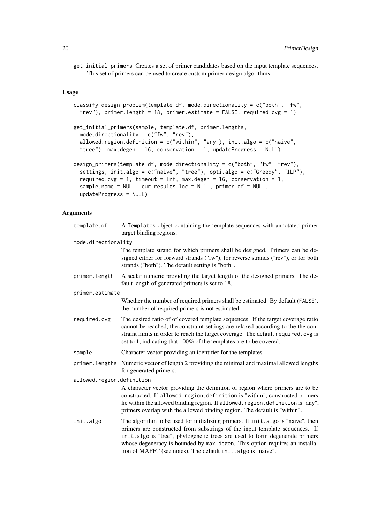get\_initial\_primers Creates a set of primer candidates based on the input template sequences. This set of primers can be used to create custom primer design algorithms.

### Usage

```
classify_design_problem(template.df, mode.directionality = c("both", "fw",
  "rev"), primer.length = 18, primer.estimate = FALSE, required.cvg = 1)
get_initial_primers(sample, template.df, primer.lengths,
 mode.directionality = c("fw", "rev"),allowed.region.definition = c("within", "any"), init.algo = c("naive",
  "tree"), max.degen = 16, conservation = 1, updateProgress = NULL)
design_primers(template.df, mode.directionality = c("both", "fw", "rev"),
  settings, init.algo = c("naive", "tree"), opti.algo = c("Greedy", "ILP"),
  required.cvg = 1, timeout = Inf, max.degen = 16, conservation = 1,
  sample.name = NULL, cur.results.loc = NULL, primer.df = NULL,
 updateProgress = NULL)
```
#### Arguments

| template.df               | A Templates object containing the template sequences with annotated primer<br>target binding regions.                                                                                                                                                                                                                                                                                           |
|---------------------------|-------------------------------------------------------------------------------------------------------------------------------------------------------------------------------------------------------------------------------------------------------------------------------------------------------------------------------------------------------------------------------------------------|
| mode.directionality       |                                                                                                                                                                                                                                                                                                                                                                                                 |
|                           | The template strand for which primers shall be designed. Primers can be de-<br>signed either for forward strands ("fw"), for reverse strands ("rev"), or for both<br>strands ("both"). The default setting is "both".                                                                                                                                                                           |
| primer.length             | A scalar numeric providing the target length of the designed primers. The de-<br>fault length of generated primers is set to 18.                                                                                                                                                                                                                                                                |
| primer.estimate           |                                                                                                                                                                                                                                                                                                                                                                                                 |
|                           | Whether the number of required primers shall be estimated. By default (FALSE),<br>the number of required primers is not estimated.                                                                                                                                                                                                                                                              |
| required.cvg              | The desired ratio of of covered template sequences. If the target coverage ratio<br>cannot be reached, the constraint settings are relaxed according to the the con-<br>straint limits in order to reach the target coverage. The default required. cvg is<br>set to 1, indicating that 100% of the templates are to be covered.                                                                |
| sample                    | Character vector providing an identifier for the templates.                                                                                                                                                                                                                                                                                                                                     |
|                           | primer. lengths Numeric vector of length 2 providing the minimal and maximal allowed lengths<br>for generated primers.                                                                                                                                                                                                                                                                          |
| allowed.region.definition |                                                                                                                                                                                                                                                                                                                                                                                                 |
|                           | A character vector providing the definition of region where primers are to be<br>constructed. If allowed. region. definition is "within", constructed primers<br>lie within the allowed binding region. If allowed. region. definition is "any",<br>primers overlap with the allowed binding region. The default is "within".                                                                   |
| init.algo                 | The algorithm to be used for initializing primers. If init algo is "naive", then<br>primers are constructed from substrings of the input template sequences. If<br>init.algo is "tree", phylogenetic trees are used to form degenerate primers<br>whose degeneracy is bounded by max. degen. This option requires an installa-<br>tion of MAFFT (see notes). The default init. algo is "naive". |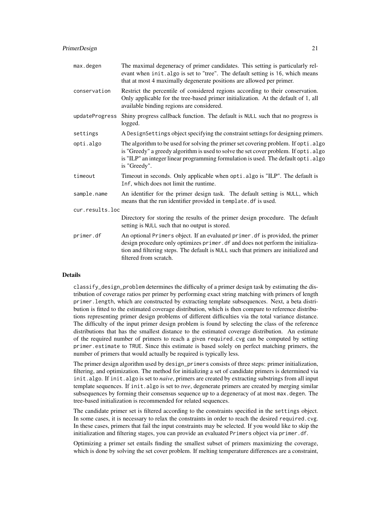| max.degen       | The maximal degeneracy of primer candidates. This setting is particularly rel-<br>evant when init.algo is set to "tree". The default setting is 16, which means<br>that at most 4 maximally degenerate positions are allowed per primer.                                           |  |
|-----------------|------------------------------------------------------------------------------------------------------------------------------------------------------------------------------------------------------------------------------------------------------------------------------------|--|
| conservation    | Restrict the percentile of considered regions according to their conservation.<br>Only applicable for the tree-based primer initialization. At the default of 1, all<br>available binding regions are considered.                                                                  |  |
| updateProgress  | Shiny progress callback function. The default is NULL such that no progress is<br>logged.                                                                                                                                                                                          |  |
| settings        | A DesignSettings object specifying the constraint settings for designing primers.                                                                                                                                                                                                  |  |
| opti.algo       | The algorithm to be used for solving the primer set covering problem. If opti.algo<br>is "Greedy" a greedy algorithm is used to solve the set cover problem. If opti.algo<br>is "ILP" an integer linear programming formulation is used. The default opti.algo<br>is "Greedy".     |  |
| timeout         | Timeout in seconds. Only applicable when opti. algo is "ILP". The default is<br>Inf, which does not limit the runtime.                                                                                                                                                             |  |
| sample.name     | An identifier for the primer design task. The default setting is NULL, which<br>means that the run identifier provided in template. df is used.                                                                                                                                    |  |
| cur.results.loc |                                                                                                                                                                                                                                                                                    |  |
|                 | Directory for storing the results of the primer design procedure. The default<br>setting is NULL such that no output is stored.                                                                                                                                                    |  |
| primer.df       | An optional Primers object. If an evaluated primer. df is provided, the primer<br>design procedure only optimizes primer. df and does not perform the initializa-<br>tion and filtering steps. The default is NULL such that primers are initialized and<br>filtered from scratch. |  |

## Details

classify\_design\_problem determines the difficulty of a primer design task by estimating the distribution of coverage ratios per primer by performing exact string matching with primers of length primer.length, which are constructed by extracting template subsequences. Next, a beta distribution is fitted to the estimated coverage distribution, which is then compare to reference distributions representing primer design problems of different difficulties via the total variance distance. The difficulty of the input primer design problem is found by selecting the class of the reference distributions that has the smallest distance to the estimated coverage distribution. An estimate of the required number of primers to reach a given required.cvg can be computed by setting primer.estimate to TRUE. Since this estimate is based solely on perfect matching primers, the number of primers that would actually be required is typically less.

The primer design algorithm used by design\_primers consists of three steps: primer initialization, filtering, and optimization. The method for initializing a set of candidate primers is determined via init.algo. If init.algo is set to *naive*, primers are created by extracting substrings from all input template sequences. If init.algo is set to *tree*, degenerate primers are created by merging similar subsequences by forming their consensus sequence up to a degeneracy of at most max.degen. The tree-based initialization is recommended for related sequences.

The candidate primer set is filtered according to the constraints specified in the settings object. In some cases, it is necessary to relax the constraints in order to reach the desired required.cvg. In these cases, primers that fail the input constraints may be selected. If you would like to skip the initialization and filtering stages, you can provide an evaluated Primers object via primer.df.

Optimizing a primer set entails finding the smallest subset of primers maximizing the coverage, which is done by solving the set cover problem. If melting temperature differences are a constraint,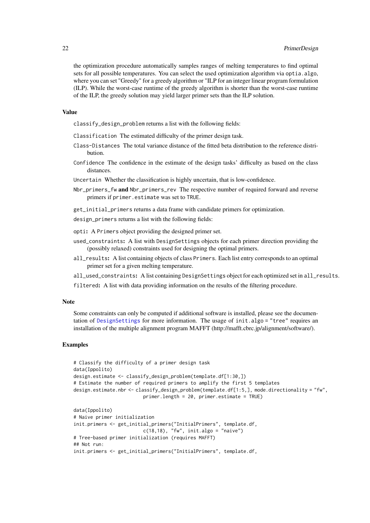<span id="page-21-0"></span>the optimization procedure automatically samples ranges of melting temperatures to find optimal sets for all possible temperatures. You can select the used optimization algorithm via optia. algo, where you can set "Greedy" for a greedy algorithm or "ILP for an integer linear program formulation (ILP). While the worst-case runtime of the greedy algorithm is shorter than the worst-case runtime of the ILP, the greedy solution may yield larger primer sets than the ILP solution.

## Value

classify\_design\_problem returns a list with the following fields:

- Classification The estimated difficulty of the primer design task.
- Class-Distances The total variance distance of the fitted beta distribution to the reference distribution.
- Confidence The confidence in the estimate of the design tasks' difficulty as based on the class distances.
- Uncertain Whether the classification is highly uncertain, that is low-confidence.
- Nbr\_primers\_fw and Nbr\_primers\_rev The respective number of required forward and reverse primers if primer.estimate was set to TRUE.
- get\_initial\_primers returns a data frame with candidate primers for optimization.
- design\_primers returns a list with the following fields:
- opti: A Primers object providing the designed primer set.
- used\_constraints: A list with DesignSettings objects for each primer direction providing the (possibly relaxed) constraints used for designing the optimal primers.
- all\_results: A list containing objects of class Primers. Each list entry corresponds to an optimal primer set for a given melting temperature.
- all\_used\_constraints: A list containing DesignSettings object for each optimized set in all\_results.
- filtered: A list with data providing information on the results of the filtering procedure.

#### Note

Some constraints can only be computed if additional software is installed, please see the documen-tation of [DesignSettings](#page-28-1) for more information. The usage of init.algo = "tree" requires an installation of the multiple alignment program MAFFT (http://mafft.cbrc.jp/alignment/software/).

```
# Classify the difficulty of a primer design task
data(Ippolito)
design.estimate <- classify_design_problem(template.df[1:30,])
# Estimate the number of required primers to amplify the first 5 templates
design.estimate.nbr <- classify_design_problem(template.df[1:5,], mode.directionality = "fw",
                         primer.length = 20, primer.estimate = TRUE)
data(Ippolito)
# Naive primer initialization
init.primers <- get_initial_primers("InitialPrimers", template.df,
                         c(18,18), "fw", init.algo = "naive")
# Tree-based primer initialization (requires MAFFT)
## Not run:
init.primers <- get_initial_primers("InitialPrimers", template.df,
```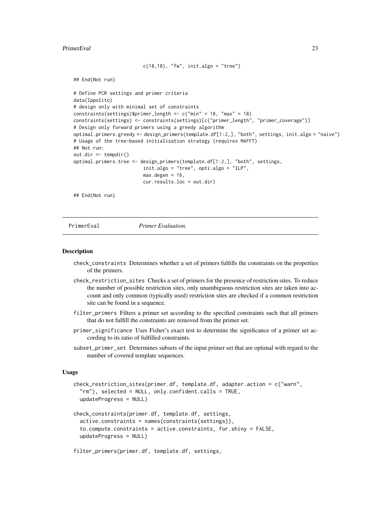#### <span id="page-22-0"></span>PrimerEval 23

```
c(18,18), "fw", init.algo = "tree")
```

```
## End(Not run)
```

```
# Define PCR settings and primer criteria
data(Ippolito)
# design only with minimal set of constraints
constraints(settings)$primer_length <- c("min" = 18, "max" = 18)
constraints(settings) <- constraints(settings)[c("primer_length", "primer_coverage")]
# Design only forward primers using a greedy algorithm
optimal.primers.greedy <- design_primers(template.df[1:2,], "both", settings, init.algo = "naive")
# Usage of the tree-based initialization strategy (requires MAFFT)
## Not run:
out.dir <- tempdir()
optimal.primers.tree <- design_primers(template.df[1:2,], "both", settings,
                         init.algo = "tree", opti.algo = "ILP",
                         max.degen = 16,
                         cur.results.loc = out.dir)
```
## End(Not run)

PrimerEval *Primer Evaluation.*

#### <span id="page-22-1"></span>Description

- check\_constraints Determines whether a set of primers fulfills the constraints on the properties of the primers.
- check\_restriction\_sites Checks a set of primers for the presence of restriction sites. To reduce the number of possible restriction sites, only unambiguous restriction sites are taken into account and only common (typically used) restriction sites are checked if a common restriction site can be found in a sequence.
- filter\_primers Filters a primer set according to the specified constraints such that all primers that do not fulfill the constraints are removed from the primer set.
- primer\_significance Uses Fisher's exact test to determine the significance of a primer set according to its ratio of fulfilled constraints.
- subset\_primer\_set Determines subsets of the input primer set that are optimal with regard to the number of covered template sequences.

#### Usage

```
check_restriction_sites(primer.df, template.df, adapter.action = c("warn",
 "rm"), selected = NULL, only.confident.calls = TRUE,
 updateProgress = NULL)
```

```
check_constraints(primer.df, template.df, settings,
 active.constraints = names(constraints(settings)),
  to.compute.constraints = active.constraints, for.shiny = FALSE,
 updateProgress = NULL)
```

```
filter_primers(primer.df, template.df, settings,
```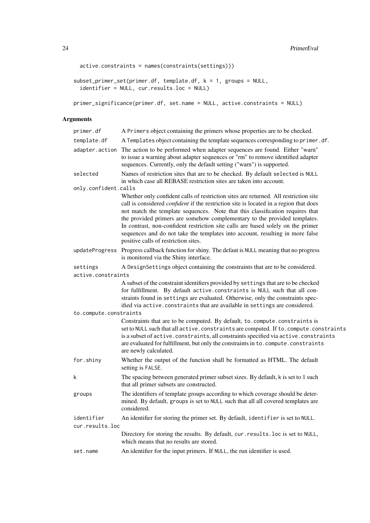```
active.constraints = names(constraints(settings)))
```

```
subset_primer_set(primer.df, template.df, k = 1, groups = NULL,
  identifier = NULL, cur.results.loc = NULL)
```

```
primer_significance(primer.df, set.name = NULL, active.constraints = NULL)
```
## Arguments

| primer.df              | A Primers object containing the primers whose properties are to be checked.                                                                                                                                                                                                                                                                                                                                                                                                                                                                                     |
|------------------------|-----------------------------------------------------------------------------------------------------------------------------------------------------------------------------------------------------------------------------------------------------------------------------------------------------------------------------------------------------------------------------------------------------------------------------------------------------------------------------------------------------------------------------------------------------------------|
| template.df            | A Templates object containing the template sequences corresponding to primer.df.                                                                                                                                                                                                                                                                                                                                                                                                                                                                                |
| adapter.action         | The action to be performed when adapter sequences are found. Either "warn"<br>to issue a warning about adapter sequences or "rm" to remove identified adapter<br>sequences. Currently, only the default setting ("warn") is supported.                                                                                                                                                                                                                                                                                                                          |
| selected               | Names of restriction sites that are to be checked. By default selected is NULL<br>in which case all REBASE restriction sites are taken into account.                                                                                                                                                                                                                                                                                                                                                                                                            |
| only.confident.calls   |                                                                                                                                                                                                                                                                                                                                                                                                                                                                                                                                                                 |
|                        | Whether only confident calls of restriction sites are returned. All restriction site<br>call is considered <i>confident</i> if the restriction site is located in a region that does<br>not match the template sequences. Note that this classification requires that<br>the provided primers are somehow complementary to the provided templates.<br>In contrast, non-confident restriction site calls are based solely on the primer<br>sequences and do not take the templates into account, resulting in more false<br>positive calls of restriction sites. |
| updateProgress         | Progress callback function for shiny. The defaut is NULL meaning that no progress<br>is monitored via the Shiny interface.                                                                                                                                                                                                                                                                                                                                                                                                                                      |
| settings               | A DesignSettings object containing the constraints that are to be considered.                                                                                                                                                                                                                                                                                                                                                                                                                                                                                   |
| active.constraints     |                                                                                                                                                                                                                                                                                                                                                                                                                                                                                                                                                                 |
|                        | A subset of the constraint identifiers provided by settings that are to be checked<br>for fulfillment. By default active.constraints is NULL such that all con-<br>straints found in settings are evaluated. Otherwise, only the constraints spec-<br>ified via active. constraints that are available in settings are considered.                                                                                                                                                                                                                              |
| to.compute.constraints |                                                                                                                                                                                                                                                                                                                                                                                                                                                                                                                                                                 |
|                        | Constraints that are to be computed. By default, to. compute. constraints is<br>set to NULL such that all active. constraints are computed. If to. compute. constraints<br>is a subset of active. constraints, all constraints specified via active. constraints<br>are evaluated for fulfillment, but only the constraints in to. compute. constraints<br>are newly calculated.                                                                                                                                                                                |
| for.shiny              | Whether the output of the function shall be formatted as HTML. The default<br>setting is FALSE.                                                                                                                                                                                                                                                                                                                                                                                                                                                                 |
| k                      | The spacing between generated primer subset sizes. By default, k is set to 1 such<br>that all primer subsets are constructed.                                                                                                                                                                                                                                                                                                                                                                                                                                   |
| groups                 | The identifiers of template groups according to which coverage should be deter-<br>mined. By default, groups is set to NULL such that all all covered templates are<br>considered.                                                                                                                                                                                                                                                                                                                                                                              |
| identifier             | An identifier for storing the primer set. By default, identifier is set to NULL.                                                                                                                                                                                                                                                                                                                                                                                                                                                                                |
| cur.results.loc        |                                                                                                                                                                                                                                                                                                                                                                                                                                                                                                                                                                 |
|                        | Directory for storing the results. By default, cur. results. loc is set to NULL,<br>which means that no results are stored.                                                                                                                                                                                                                                                                                                                                                                                                                                     |
| set.name               | An identifier for the input primers. If NULL, the run identifier is used.                                                                                                                                                                                                                                                                                                                                                                                                                                                                                       |
|                        |                                                                                                                                                                                                                                                                                                                                                                                                                                                                                                                                                                 |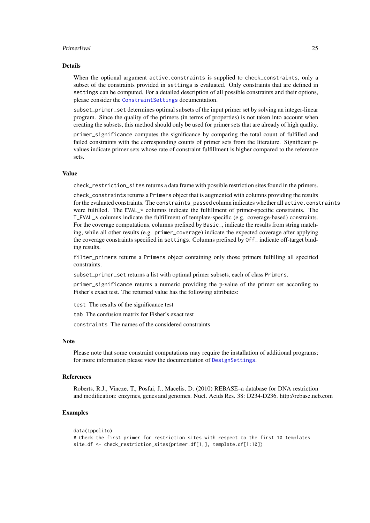#### <span id="page-24-0"></span>PrimerEval 25

#### Details

When the optional argument active.constraints is supplied to check\_constraints, only a subset of the constraints provided in settings is evaluated. Only constraints that are defined in settings can be computed. For a detailed description of all possible constraints and their options, please consider the [ConstraintSettings](#page-28-1) documentation.

subset\_primer\_set determines optimal subsets of the input primer set by solving an integer-linear program. Since the quality of the primers (in terms of properties) is not taken into account when creating the subsets, this method should only be used for primer sets that are already of high quality.

primer significance computes the significance by comparing the total count of fulfilled and failed constraints with the corresponding counts of primer sets from the literature. Significant pvalues indicate primer sets whose rate of constraint fulfillment is higher compared to the reference sets.

## Value

check\_restriction\_sites returns a data frame with possible restriction sites found in the primers.

check\_constraints returns a Primers object that is augmented with columns providing the results for the evaluated constraints. The constraints\_passed column indicates whether all active.constraints were fulfilled. The EVAL\_\* columns indicate the fulfillment of primer-specific constraints. The T\_EVAL\_\* columns indicate the fulfillment of template-specific (e.g. coverage-based) constraints. For the coverage computations, columns prefixed by Basic\_, indicate the results from string matching, while all other results (e.g. primer\_coverage) indicate the expected coverage after applying the coverage constraints specified in settings. Columns prefixed by Off\_ indicate off-target binding results.

filter\_primers returns a Primers object containing only those primers fulfilling all specified constraints.

subset\_primer\_set returns a list with optimal primer subsets, each of class Primers.

primer significance returns a numeric providing the p-value of the primer set according to Fisher's exact test. The returned value has the following attributes:

test The results of the significance test

tab The confusion matrix for Fisher's exact test

constraints The names of the considered constraints

#### **Note**

Please note that some constraint computations may require the installation of additional programs; for more information please view the documentation of [DesignSettings](#page-28-1).

## References

Roberts, R.J., Vincze, T., Posfai, J., Macelis, D. (2010) REBASE–a database for DNA restriction and modification: enzymes, genes and genomes. Nucl. Acids Res. 38: D234-D236. http://rebase.neb.com

```
data(Ippolito)
# Check the first primer for restriction sites with respect to the first 10 templates
site.df <- check_restriction_sites(primer.df[1,], template.df[1:10])
```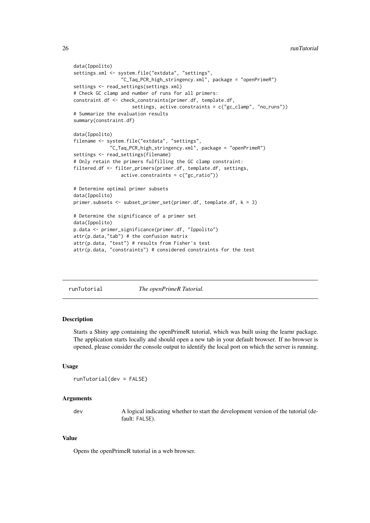```
data(Ippolito)
settings.xml <- system.file("extdata", "settings",
                 "C_Taq_PCR_high_stringency.xml", package = "openPrimeR")
settings <- read_settings(settings.xml)
# Check GC clamp and number of runs for all primers:
constraint.df <- check_constraints(primer.df, template.df,
                     settings, active.constraints = c("gc_clamp", "no_runs"))
# Summarize the evaluation results
summary(constraint.df)
data(Ippolito)
filename <- system.file("extdata", "settings",
             "C_Taq_PCR_high_stringency.xml", package = "openPrimeR")
settings <- read_settings(filename)
# Only retain the primers fulfilling the GC clamp constraint:
filtered.df <- filter_primers(primer.df, template.df, settings,
                 active.constraints = c("gc_ratio"))
# Determine optimal primer subsets
data(Ippolito)
primer.subsets \leq subset_primer_set(primer.df, template.df, k = 3)
# Determine the significance of a primer set
data(Ippolito)
p.data <- primer_significance(primer.df, "Ippolito")
attr(p.data, "tab") # the confusion matrix
attr(p.data, "test") # results from Fisher's test
attr(p.data, "constraints") # considered constraints for the test
```

| runTutorial | The openPrimeR Tutorial. |
|-------------|--------------------------|
|             |                          |

#### Description

Starts a Shiny app containing the openPrimeR tutorial, which was built using the learnr package. The application starts locally and should open a new tab in your default browser. If no browser is opened, please consider the console output to identify the local port on which the server is running.

## Usage

```
runTutorial(dev = FALSE)
```
#### Arguments

dev A logical indicating whether to start the development version of the tutorial (default: FALSE).

## Value

Opens the openPrimeR tutorial in a web browser.

<span id="page-25-0"></span>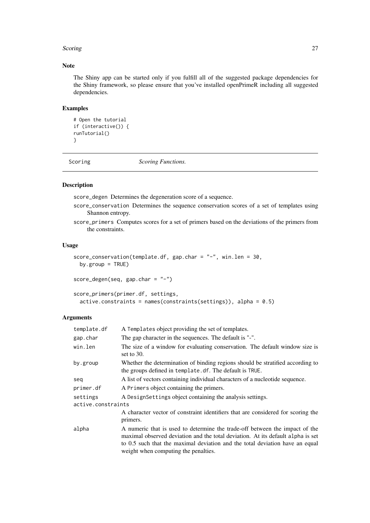#### <span id="page-26-0"></span>Scoring 27

## Note

The Shiny app can be started only if you fulfill all of the suggested package dependencies for the Shiny framework, so please ensure that you've installed openPrimeR including all suggested dependencies.

## Examples

```
# Open the tutorial
if (interactive()) {
runTutorial()
}
```
Scoring *Scoring Functions.*

## <span id="page-26-1"></span>Description

score\_degen Determines the degeneration score of a sequence.

- score\_conservation Determines the sequence conservation scores of a set of templates using Shannon entropy.
- score\_primers Computes scores for a set of primers based on the deviations of the primers from the constraints.

#### Usage

```
score_conservation(template.df, gap.char = "-", win.len = 30,
 by.group = TRUE)
```

```
score_degen(seq, gap.char = "-")
```

```
score_primers(primer.df, settings,
  active.constraints = names(constraints(settings)), alpha = 0.5)
```
## Arguments

| template.df        | A Templates object providing the set of templates.                                                                                                                                                                                                                                     |
|--------------------|----------------------------------------------------------------------------------------------------------------------------------------------------------------------------------------------------------------------------------------------------------------------------------------|
| gap.char           | The gap character in the sequences. The default is "-".                                                                                                                                                                                                                                |
| win.len            | The size of a window for evaluating conservation. The default window size is<br>set to $30$ .                                                                                                                                                                                          |
| by.group           | Whether the determination of binding regions should be stratified according to<br>the groups defined in template. df. The default is TRUE.                                                                                                                                             |
| seq                | A list of vectors containing individual characters of a nucleotide sequence.                                                                                                                                                                                                           |
| primer.df          | A Primers object containing the primers.                                                                                                                                                                                                                                               |
| settings           | A Design Settings object containing the analysis settings.                                                                                                                                                                                                                             |
| active.constraints |                                                                                                                                                                                                                                                                                        |
|                    | A character vector of constraint identifiers that are considered for scoring the<br>primers.                                                                                                                                                                                           |
| alpha              | A numeric that is used to determine the trade-off between the impact of the<br>maximal observed deviation and the total deviation. At its default alpha is set<br>to 0.5 such that the maximal deviation and the total deviation have an equal<br>weight when computing the penalties. |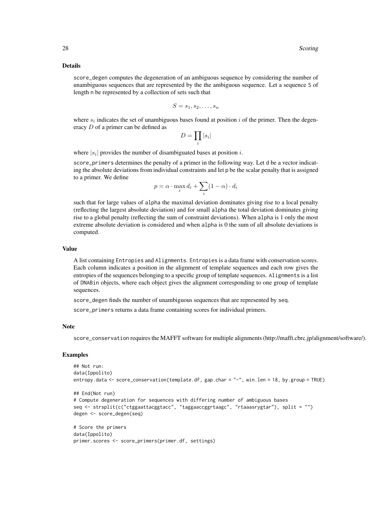#### Details

score\_degen computes the degeneration of an ambiguous sequence by considering the number of unambiguous sequences that are represented by the the ambiguous sequence. Let a sequence S of length n be represented by a collection of sets such that

$$
S=s_1,s_2,\ldots,s_n
$$

where  $s_i$  indicates the set of unambiguous bases found at position i of the primer. Then the degeneracy D of a primer can be defined as

$$
D=\prod_i |s_i|
$$

where  $|s_i|$  provides the number of disambiguated bases at position i.

score\_primers determines the penalty of a primer in the following way. Let d be a vector indicating the absolute deviations from individual constraints and let p be the scalar penalty that is assigned to a primer. We define

$$
p = \alpha \cdot \max_i d_i + \sum_i (1 - \alpha) \cdot d_i
$$

such that for large values of alpha the maximal deviation dominates giving rise to a local penalty (reflecting the largest absolute deviation) and for small alpha the total deviation dominates giving rise to a global penalty (reflecting the sum of constraint deviations). When alpha is 1 only the most extreme absolute deviation is considered and when alpha is 0 the sum of all absolute deviations is computed.

#### Value

A list containing Entropies and Alignments. Entropies is a data frame with conservation scores. Each column indicates a position in the alignment of template sequences and each row gives the entropies of the sequences belonging to a specific group of template sequences. Alignments is a list of DNABin objects, where each object gives the alignment corresponding to one group of template sequences.

score\_degen finds the number of unambiguous sequences that are represented by seq.

score\_primers returns a data frame containing scores for individual primers.

#### Note

score\_conservation requires the MAFFT software for multiple alignments (http://mafft.cbrc.jp/alignment/software/).

```
## Not run:
data(Ippolito)
entropy.data <- score_conservation(template.df, gap.char = "-", win.len = 18, by.group = TRUE)
## End(Not run)
# Compute degeneration for sequences with differing number of ambiguous bases
seq <- strsplit(c("ctggaattacggtacc", "taggaaccggrtaagc", "rtaaasrygtar"), split = "")
degen <- score_degen(seq)
# Score the primers
data(Ippolito)
primer.scores <- score_primers(primer.df, settings)
```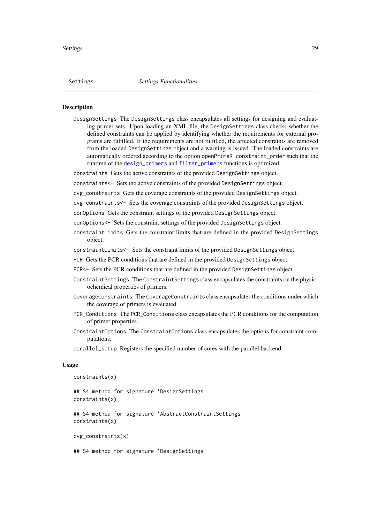#### <span id="page-28-1"></span><span id="page-28-0"></span>Description

DesignSettings The DesignSettings class encapsulates all settings for designing and evaluating primer sets. Upon loading an XML file, the DesignSettings class checks whether the defined constraints can be applied by identifying whether the requirements for external programs are fulfilled. If the requirements are not fulfilled, the affected constraints are removed from the loaded DesignSettings object and a warning is issued. The loaded constraints are automatically ordered according to the option openPrimeR.constraint\_order such that the runtime of the [design\\_primers](#page-18-1) and [filter\\_primers](#page-22-1) functions is optimized.

constraints Gets the active constraints of the provided DesignSettings object.

constraints<- Sets the active constraints of the provided DesignSettings object.

cvg\_constraints Gets the coverage constraints of the provided DesignSettings object.

cvg\_constraints<- Sets the coverage constraints of the provided DesignSettings object.

conOptions Gets the constraint settings of the provided DesignSettings object.

conOptions<- Sets the constraint settings of the provided DesignSettings object.

- constraintLimits Gets the constraint limits that are defined in the provided DesignSettings object.
- constraintLimits<- Sets the constraint limits of the provided DesignSettings object.
- PCR Gets the PCR conditions that are defined in the provided DesignSettings object.
- PCR<- Sets the PCR conditions that are defined in the provided DesignSettings object.
- ConstraintSettings The ConstraintSettings class encapsulates the constraints on the physicochemical properties of primers.
- CoverageConstraints The CoverageConstraints class encapsulates the conditions under which the coverage of primers is evaluated.
- PCR\_Conditions The PCR\_Conditions class encapsulates the PCR conditions for the computation of primer properties.
- ConstraintOptions The ConstraintOptions class encapsulates the options for constraint computations.
- parallel\_setup Registers the specified number of cores with the parallel backend.

## Usage

```
constraints(x)
```
## S4 method for signature 'DesignSettings' constraints(x)

## S4 method for signature 'AbstractConstraintSettings' constraints(x)

cvg\_constraints(x)

## S4 method for signature 'DesignSettings'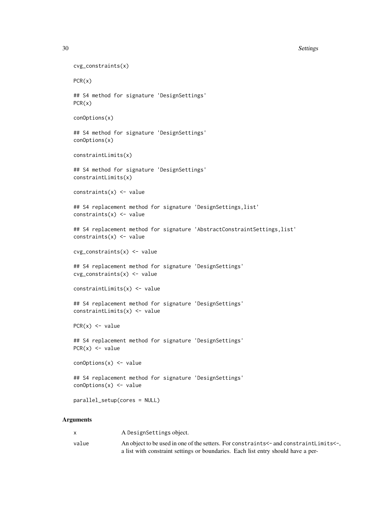```
30 Settings and the settings of the settings of the settings of the settings of the settings of the settings of the settings of the settings of the settings of the settings of the settings of the settings of the settings o
```

```
cvg_constraints(x)
PCR(x)
## S4 method for signature 'DesignSettings'
PCR(x)
conOptions(x)
## S4 method for signature 'DesignSettings'
conOptions(x)
constraintLimits(x)
## S4 method for signature 'DesignSettings'
constraintLimits(x)
constraints(x) <- value
## S4 replacement method for signature 'DesignSettings, list'
constraints(x) \leq value
## S4 replacement method for signature 'AbstractConstraintSettings,list'
constraints(x) <- value
cvg_constraints(x) <- value
## S4 replacement method for signature 'DesignSettings'
cvg_constraints(x) <- value
constraintLimits(x) <- value
## S4 replacement method for signature 'DesignSettings'
constraintLimits(x) <- value
PCR(x) <- value
## S4 replacement method for signature 'DesignSettings'
PCR(x) \le - valueconOptions(x) <- value
## S4 replacement method for signature 'DesignSettings'
conOptions(x) \leftarrow valueparallel_setup(cores = NULL)
```
#### Arguments

| X.    | A DesignSettings object.                                                                |
|-------|-----------------------------------------------------------------------------------------|
| value | An object to be used in one of the setters. For constraints <- and constraint Limits <- |
|       | a list with constraint settings or boundaries. Each list entry should have a per-       |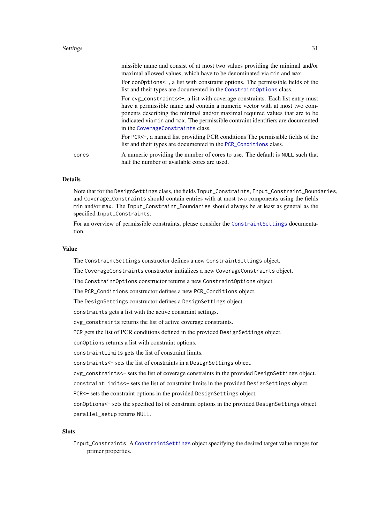#### <span id="page-30-0"></span>Settings 31

|       | missible name and consist of at most two values providing the minimal and/or<br>maximal allowed values, which have to be denominated via min and max.                                                                                                                                                                                                               |
|-------|---------------------------------------------------------------------------------------------------------------------------------------------------------------------------------------------------------------------------------------------------------------------------------------------------------------------------------------------------------------------|
|       | For conoptions <-, a list with constraint options. The permissible fields of the<br>list and their types are documented in the Constraint Options class.                                                                                                                                                                                                            |
|       | For cvg_constraints<-, a list with coverage constraints. Each list entry must<br>have a permissible name and contain a numeric vector with at most two com-<br>ponents describing the minimal and/or maximal required values that are to be<br>indicated via min and max. The permissible contraint identifiers are documented<br>in the CoverageConstraints class. |
|       | For PCR<-, a named list providing PCR conditions The permissible fields of the<br>list and their types are documented in the PCR_Conditions class.                                                                                                                                                                                                                  |
| cores | A numeric providing the number of cores to use. The default is NULL such that<br>half the number of available cores are used.                                                                                                                                                                                                                                       |

## Details

Note that for the DesignSettings class, the fields Input\_Constraints, Input\_Constraint\_Boundaries, and Coverage\_Constraints should contain entries with at most two components using the fields min and/or max. The Input\_Constraint\_Boundaries should always be at least as general as the specified Input\_Constraints.

For an overview of permissible constraints, please consider the [ConstraintSettings](#page-28-1) documentation.

## Value

The ConstraintSettings constructor defines a new ConstraintSettings object.

The CoverageConstraints constructor initializes a new CoverageConstraints object.

The ConstraintOptions constructor returns a new ConstraintOptions object.

The PCR\_Conditions constructor defines a new PCR\_Conditions object.

The DesignSettings constructor defines a DesignSettings object.

constraints gets a list with the active constraint settings.

cvg\_constraints returns the list of active coverage constraints.

PCR gets the list of PCR conditions defined in the provided DesignSettings object.

conOptions returns a list with constraint options.

constraintLimits gets the list of constraint limits.

constraints<- sets the list of constraints in a DesignSettings object.

cvg\_constraints<- sets the list of coverage constraints in the provided DesignSettings object.

constraintLimits<- sets the list of constraint limits in the provided DesignSettings object.

PCR<- sets the constraint options in the provided DesignSettings object.

conOptions<- sets the specified list of constraint options in the provided DesignSettings object. parallel\_setup returns NULL.

## **Slots**

Input\_Constraints A [ConstraintSettings](#page-28-1) object specifying the desired target value ranges for primer properties.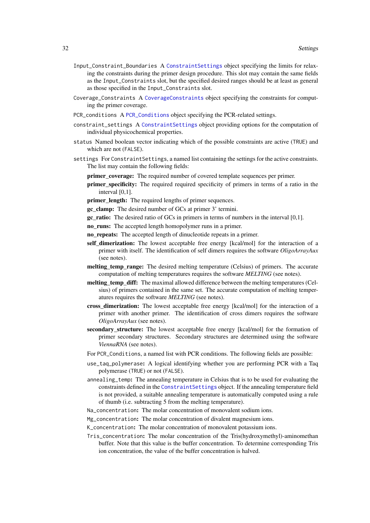- <span id="page-31-0"></span>Input\_Constraint\_Boundaries A [ConstraintSettings](#page-28-1) object specifying the limits for relaxing the constraints during the primer design procedure. This slot may contain the same fields as the Input\_Constraints slot, but the specified desired ranges should be at least as general as those specified in the Input\_Constraints slot.
- Coverage\_Constraints A [CoverageConstraints](#page-28-1) object specifying the constraints for computing the primer coverage.
- PCR\_conditions A [PCR\\_Conditions](#page-28-1) object specifying the PCR-related settings.
- constraint\_settings A [ConstraintSettings](#page-28-1) object providing options for the computation of individual physicochemical properties.
- status Named boolean vector indicating which of the possible constraints are active (TRUE) and which are not (FALSE).
- settings For ConstraintSettings, a named list containing the settings for the active constraints. The list may contain the following fields:
	- **primer** coverage: The required number of covered template sequences per primer.
	- primer specificity: The required required specificity of primers in terms of a ratio in the interval [0,1].
	- primer\_length: The required lengths of primer sequences.
	- gc\_clamp: The desired number of GCs at primer 3' termini.
	- gc\_ratio: The desired ratio of GCs in primers in terms of numbers in the interval [0,1].
	- no\_runs: The accepted length homopolymer runs in a primer.
	- no\_repeats: The accepted length of dinucleotide repeats in a primer.
	- self\_dimerization: The lowest acceptable free energy [kcal/mol] for the interaction of a primer with itself. The identification of self dimers requires the software *OligoArrayAux* (see notes).
	- melting temp range: The desired melting temperature (Celsius) of primers. The accurate computation of melting temperatures requires the software *MELTING* (see notes).
	- melting temp diff: The maximal allowed difference between the melting temperatures (Celsius) of primers contained in the same set. The accurate computation of melting temperatures requires the software *MELTING* (see notes).
	- cross\_dimerization: The lowest acceptable free energy [kcal/mol] for the interaction of a primer with another primer. The identification of cross dimers requires the software *OligoArrayAux* (see notes).
	- secondary\_structure: The lowest acceptable free energy [kcal/mol] for the formation of primer secondary structures. Secondary structures are determined using the software *ViennaRNA* (see notes).
	- For PCR\_Conditions, a named list with PCR conditions. The following fields are possible:
	- use\_taq\_polymerase: A logical identifying whether you are performing PCR with a Taq polymerase (TRUE) or not (FALSE).
	- annealing\_temp: The annealing temperature in Celsius that is to be used for evaluating the constraints defined in the [ConstraintSettings](#page-28-1) object. If the annealing temperature field is not provided, a suitable annealing temperature is automatically computed using a rule of thumb (i.e. subtracting 5 from the melting temperature).
	- Na\_concentration: The molar concentration of monovalent sodium ions.
	- Mg\_concentration: The molar concentration of divalent magnesium ions.
	- K\_concentration: The molar concentration of monovalent potassium ions.
	- Tris\_concentration: The molar concentration of the Tris(hydroxymethyl)-aminomethan buffer. Note that this value is the buffer concentration. To determine corresponding Tris ion concentration, the value of the buffer concentration is halved.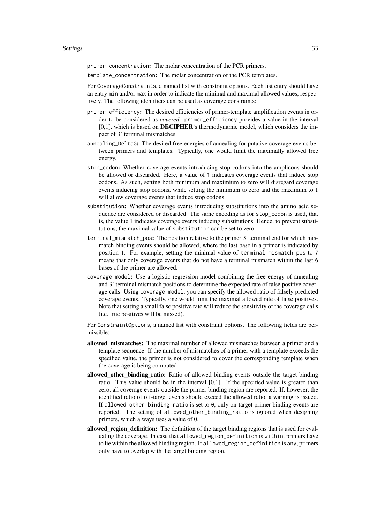primer\_concentration: The molar concentration of the PCR primers.

template\_concentration: The molar concentration of the PCR templates.

For CoverageConstraints, a named list with constraint options. Each list entry should have an entry min and/or max in order to indicate the minimal and maximal allowed values, respectively. The following identifiers can be used as coverage constraints:

- primer\_efficiency: The desired efficiencies of primer-template amplification events in order to be considered as *covered*. primer\_efficiency provides a value in the interval  $[0,1]$ , which is based on **DECIPHER**'s thermodynamic model, which considers the impact of 3' terminal mismatches.
- annealing\_DeltaG: The desired free energies of annealing for putative coverage events between primers and templates. Typically, one would limit the maximally allowed free energy.
- stop\_codon: Whether coverage events introducing stop codons into the amplicons should be allowed or discarded. Here, a value of 1 indicates coverage events that induce stop codons. As such, setting both minimum and maximium to zero will disregard coverage events inducing stop codons, while setting the minimum to zero and the maximum to 1 will allow coverage events that induce stop codons.
- substitution: Whether coverage events introducing substitutions into the amino acid sequence are considered or discarded. The same encoding as for stop\_codon is used, that is, the value 1 indicates coverage events inducing substitutions. Hence, to prevent substitutions, the maximal value of substitution can be set to zero.
- terminal\_mismatch\_pos: The position relative to the primer 3' terminal end for which mismatch binding events should be allowed, where the last base in a primer is indicated by position 1. For example, setting the minimal value of terminal\_mismatch\_pos to 7 means that only coverage events that do not have a terminal mismatch within the last 6 bases of the primer are allowed.
- coverage\_model: Use a logistic regression model combining the free energy of annealing and 3' terminal mismatch positions to determine the expected rate of false positive coverage calls. Using coverage\_model, you can specify the allowed ratio of falsely predicted coverage events. Typically, one would limit the maximal allowed rate of false positives. Note that setting a small false positive rate will reduce the sensitivity of the coverage calls (i.e. true positives will be missed).

For ConstraintOptions, a named list with constraint options. The following fields are permissible:

- allowed\_mismatches: The maximal number of allowed mismatches between a primer and a template sequence. If the number of mismatches of a primer with a template exceeds the specified value, the primer is not considered to cover the corresponding template when the coverage is being computed.
- allowed other binding ratio: Ratio of allowed binding events outside the target binding ratio. This value should be in the interval [0,1]. If the specified value is greater than zero, all coverage events outside the primer binding region are reported. If, however, the identified ratio of off-target events should exceed the allowed ratio, a warning is issued. If allowed\_other\_binding\_ratio is set to 0, only on-target primer binding events are reported. The setting of allowed\_other\_binding\_ratio is ignored when designing primers, which always uses a value of 0.
- allowed\_region\_definition: The definition of the target binding regions that is used for evaluating the coverage. In case that allowed\_region\_definition is within, primers have to lie within the allowed binding region. If allowed\_region\_definition is any, primers only have to overlap with the target binding region.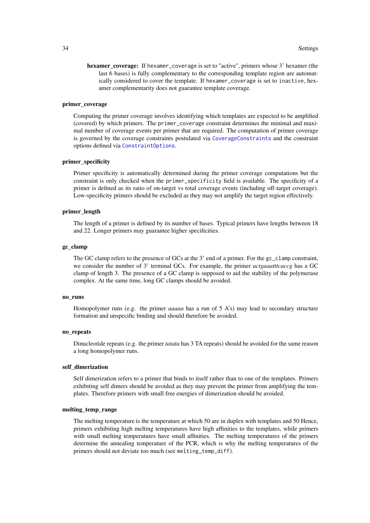<span id="page-33-0"></span>hexamer coverage: If hexamer\_coverage is set to "active", primers whose 3' hexamer (the last 6 bases) is fully complementary to the corresponding template region are automatically considered to cover the template. If hexamer\_coverage is set to inactive, hexamer complementarity does not guarantee template coverage.

## primer\_coverage

Computing the primer coverage involves identifying which templates are expected to be amplified (covered) by which primers. The primer\_coverage constraint determines the minimal and maximal number of coverage events per primer that are required. The computation of primer coverage is governed by the coverage constraints postulated via [CoverageConstraints](#page-28-1) and the constraint options defined via [ConstraintOptions](#page-28-1).

#### primer\_specificity

Primer specificity is automatically determined during the primer coverage computations but the constraint is only checked when the primer\_specificity field is available. The specificity of a primer is defined as its ratio of on-target vs total coverage events (including off-target coverage). Low-specificity primers should be excluded as they may not amplify the target region effectively.

#### primer\_length

The length of a primer is defined by its number of bases. Typical primers have lengths between 18 and 22. Longer primers may guarantee higher specificities.

#### gc\_clamp

The GC clamp refers to the presence of GCs at the 3' end of a primer. For the gc\_clamp constraint, we consider the number of 3' terminal GCs. For example, the primer *actgaaatttcaccg* has a GC clamp of length 3. The presence of a GC clamp is supposed to aid the stability of the polymerase complex. At the same time, long GC clamps should be avoided.

#### no\_runs

Homopolymer runs (e.g. the primer *aaaaa* has a run of 5 A's) may lead to secondary structure formation and unspecific binding and should therefore be avoided.

#### no\_repeats

Dinucleotide repeats (e.g. the primer *tatata* has 3 TA repeats) should be avoided for the same reason a long homopolymer runs.

#### self\_dimerization

Self dimerization refers to a primer that binds to itself rather than to one of the templates. Primers exhibiting self dimers should be avoided as they may prevent the primer from amplifying the templates. Therefore primers with small free energies of dimerization should be avoided.

#### melting\_temp\_range

The melting temperature is the temperature at which 50 are in duplex with templates and 50 Hence, primers exhibiting high melting temperatures have high affinities to the templates, while primers with small melting temperatures have small affinities. The melting temperatures of the primers determine the annealing temperature of the PCR, which is why the melting temperatures of the primers should not deviate too much (see melting\_temp\_diff).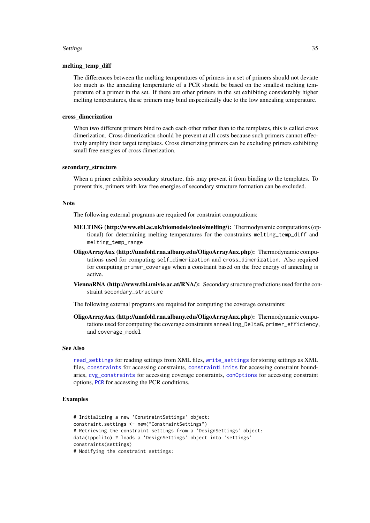#### <span id="page-34-0"></span>Settings 35

#### melting\_temp\_diff

The differences between the melting temperatures of primers in a set of primers should not deviate too much as the annealing temperaturte of a PCR should be based on the smallest melting temperature of a primer in the set. If there are other primers in the set exhibiting considerably higher melting temperatures, these primers may bind inspecifically due to the low annealing temperature.

#### cross\_dimerization

When two different primers bind to each each other rather than to the templates, this is called cross dimerization. Cross dimerization should be prevent at all costs because such primers cannot effectively amplify their target templates. Cross dimerizing primers can be excluding primers exhibiting small free energies of cross dimerization.

## secondary\_structure

When a primer exhibits secondary structure, this may prevent it from binding to the templates. To prevent this, primers with low free energies of secondary structure formation can be excluded.

## Note

The following external programs are required for constraint computations:

- MELTING (http://www.ebi.ac.uk/biomodels/tools/melting/): Thermodynamic computations (optional) for determining melting temperatures for the constraints melting\_temp\_diff and melting\_temp\_range
- OligoArrayAux (http://unafold.rna.albany.edu/OligoArrayAux.php): Thermodynamic computations used for computing self\_dimerization and cross\_dimerization. Also required for computing primer\_coverage when a constraint based on the free energy of annealing is active.
- ViennaRNA (http://www.tbi.univie.ac.at/RNA/): Secondary structure predictions used for the constraint secondary\_structure

The following external programs are required for computing the coverage constraints:

OligoArrayAux (http://unafold.rna.albany.edu/OligoArrayAux.php): Thermodynamic computations used for computing the coverage constraints annealing\_DeltaG, primer\_efficiency, and coverage\_model

#### See Also

[read\\_settings](#page-6-1) for reading settings from XML files, [write\\_settings](#page-11-1) for storing settings as XML files, [constraints](#page-28-1) for accessing constraints, [constraintLimits](#page-28-1) for accessing constraint boundaries, [cvg\\_constraints](#page-28-1) for accessing coverage constraints, [conOptions](#page-28-1) for accessing constraint options, [PCR](#page-28-1) for accessing the PCR conditions.

```
# Initializing a new 'ConstraintSettings' object:
constraint.settings <- new("ConstraintSettings")
# Retrieving the constraint settings from a 'DesignSettings' object:
data(Ippolito) # loads a 'DesignSettings' object into 'settings'
constraints(settings)
# Modifying the constraint settings:
```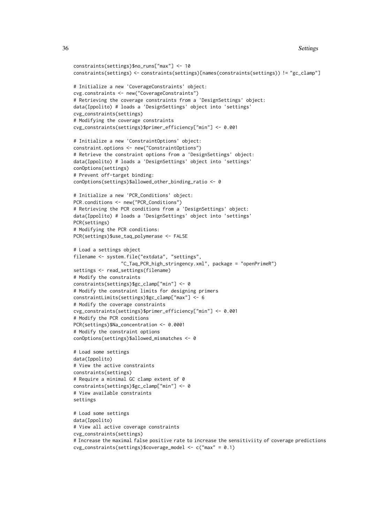```
constraints(settings)$no_runs["max"] <- 10
constraints(settings) <- constraints(settings)[names(constraints(settings)) != "gc_clamp"]
# Initialize a new 'CoverageConstraints' object:
cvg.constraints <- new("CoverageConstraints")
# Retrieving the coverage constraints from a 'DesignSettings' object:
data(Ippolito) # loads a 'DesignSettings' object into 'settings'
cvg_constraints(settings)
# Modifying the coverage constraints
cvg_constraints(settings)$primer_efficiency["min"] <- 0.001
# Initialize a new 'ConstraintOptions' object:
constraint.options <- new("ConstraintOptions")
# Retrieve the constraint options from a 'DesignSettings' object:
data(Ippolito) # loads a 'DesignSettings' object into 'settings'
conOptions(settings)
# Prevent off-target binding:
conOptions(settings)$allowed_other_binding_ratio <- 0
# Initialize a new 'PCR_Conditions' object:
PCR.conditions <- new("PCR_Conditions")
# Retrieving the PCR conditions from a 'DesignSettings' object:
data(Ippolito) # loads a 'DesignSettings' object into 'settings'
PCR(settings)
# Modifying the PCR conditions:
PCR(settings)$use_taq_polymerase <- FALSE
# Load a settings object
filename <- system.file("extdata", "settings",
                 "C_Taq_PCR_high_stringency.xml", package = "openPrimeR")
settings <- read settings(filename)
# Modify the constraints
constraints(settings)$gc_clamp["min"] <- 0
# Modify the constraint limits for designing primers
constraintLimits(settings)$gc_clamp["max"] <- 6
# Modify the coverage constraints
cvg_constraints(settings)$primer_efficiency["min"] <- 0.001
# Modify the PCR conditions
PCR(settings)$Na_concentration <- 0.0001
# Modify the constraint options
conOptions(settings)$allowed_mismatches <- 0
# Load some settings
data(Ippolito)
# View the active constraints
constraints(settings)
# Require a minimal GC clamp extent of 0
constraints(settings)$gc_clamp["min"] <- 0
# View available constraints
settings
# Load some settings
data(Ippolito)
# View all active coverage constraints
cvg_constraints(settings)
# Increase the maximal false positive rate to increase the sensitiviity of coverage predictions
cvg\_constraints(settings)$coverage_model <- c("max" = 0.1)
```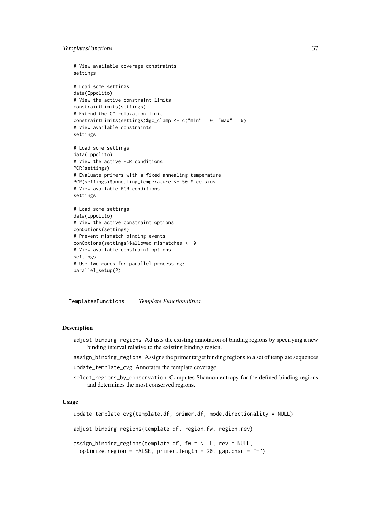#### <span id="page-36-0"></span>TemplatesFunctions 37

```
# View available coverage constraints:
settings
# Load some settings
data(Ippolito)
# View the active constraint limits
constraintLimits(settings)
# Extend the GC relaxation limit
constraintLimits(settings)$gc_clamp <- c("min" = 0, "max" = 6)
# View available constraints
settings
# Load some settings
data(Ippolito)
# View the active PCR conditions
PCR(settings)
# Evaluate primers with a fixed annealing temperature
PCR(settings)$annealing_temperature <- 50 # celsius
# View available PCR conditions
settings
# Load some settings
data(Ippolito)
# View the active constraint options
conOptions(settings)
# Prevent mismatch binding events
conOptions(settings)$allowed_mismatches <- 0
# View available constraint options
settings
# Use two cores for parallel processing:
parallel_setup(2)
```
TemplatesFunctions *Template Functionalities.*

#### <span id="page-36-1"></span>Description

- adjust\_binding\_regions Adjusts the existing annotation of binding regions by specifying a new binding interval relative to the existing binding region.
- assign\_binding\_regions Assigns the primer target binding regions to a set of template sequences.
- update\_template\_cvg Annotates the template coverage.
- select\_regions\_by\_conservation Computes Shannon entropy for the defined binding regions and determines the most conserved regions.

#### Usage

```
update_template_cvg(template.df, primer.df, mode.directionality = NULL)
```
adjust\_binding\_regions(template.df, region.fw, region.rev)

```
assign_binding_regions(template.df, fw = NULL, rev = NULL,
  optimize.region = FALSE, primer.length = 20, gap.char = "-")
```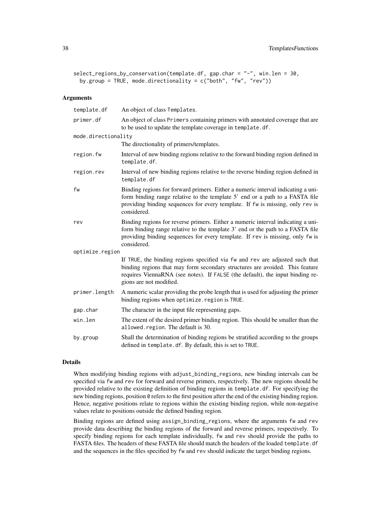```
select_regions_by_conservation(template.df, gap.char = "-", win.len = 30,
 by.group = TRUE, mode.directionality = c("both", "fw", "rev"))
```
## Arguments

| template.df         | An object of class Templates.                                                                                                                                                                                                                                            |  |
|---------------------|--------------------------------------------------------------------------------------------------------------------------------------------------------------------------------------------------------------------------------------------------------------------------|--|
| primer.df           | An object of class Primers containing primers with annotated coverage that are<br>to be used to update the template coverage in template.df.                                                                                                                             |  |
| mode.directionality |                                                                                                                                                                                                                                                                          |  |
|                     | The directionality of primers/templates.                                                                                                                                                                                                                                 |  |
| region.fw           | Interval of new binding regions relative to the forward binding region defined in<br>template.df.                                                                                                                                                                        |  |
| region.rev          | Interval of new binding regions relative to the reverse binding region defined in<br>template.df                                                                                                                                                                         |  |
| fw                  | Binding regions for forward primers. Either a numeric interval indicating a uni-<br>form binding range relative to the template 5' end or a path to a FASTA file<br>providing binding sequences for every template. If fw is missing, only rev is<br>considered.         |  |
| rev                 | Binding regions for reverse primers. Either a numeric interval indicating a uni-<br>form binding range relative to the template 3' end or the path to a FASTA file<br>providing binding sequences for every template. If rev is missing, only fw is<br>considered.       |  |
| optimize.region     |                                                                                                                                                                                                                                                                          |  |
|                     | If TRUE, the binding regions specified via fw and rev are adjusted such that<br>binding regions that may form secondary structures are avoided. This feature<br>requires ViennaRNA (see notes). If FALSE (the default), the input binding re-<br>gions are not modified. |  |
| primer.length       | A numeric scalar providing the probe length that is used for adjusting the primer<br>binding regions when optimize. region is TRUE.                                                                                                                                      |  |
| gap.char            | The character in the input file representing gaps.                                                                                                                                                                                                                       |  |
| win.len             | The extent of the desired primer binding region. This should be smaller than the<br>allowed.region. The default is 30.                                                                                                                                                   |  |
| by.group            | Shall the determination of binding regions be stratified according to the groups<br>defined in template. df. By default, this is set to TRUE.                                                                                                                            |  |

#### Details

When modifying binding regions with adjust\_binding\_regions, new binding intervals can be specified via fw and rev for forward and reverse primers, respectively. The new regions should be provided relative to the existing definition of binding regions in template.df. For specifying the new binding regions, position 0 refers to the first position after the end of the existing binding region. Hence, negative positions relate to regions within the existing binding region, while non-negative values relate to positions outside the defined binding region.

Binding regions are defined using assign\_binding\_regions, where the arguments fw and rev provide data describing the binding regions of the forward and reverse primers, respectively. To specify binding regions for each template individually, fw and rev should provide the paths to FASTA files. The headers of these FASTA file should match the headers of the loaded template.df and the sequences in the files specified by fw and rev should indicate the target binding regions.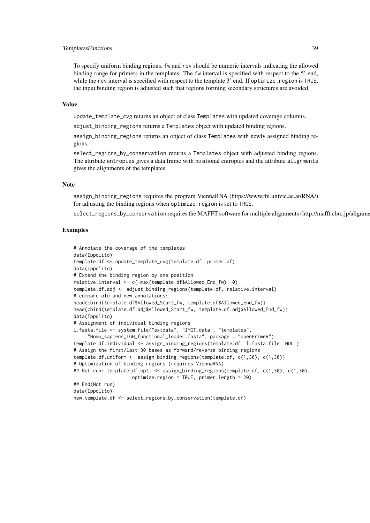#### TemplatesFunctions 39

To specify uniform binding regions, fw and rev should be numeric intervals indicating the allowed binding range for primers in the templates. The fw interval is specified with respect to the 5' end, while the rev interval is specified with respect to the template 3' end. If optimize. region is TRUE, the input binding region is adjusted such that regions forming secondary structures are avoided.

## Value

update\_template\_cvg returns an object of class Templates with updated coverage columns.

adjust\_binding\_regions returns a Templates object with updated binding regions.

assign binding regions returns an object of class Templates with newly assigned binding regions.

select\_regions\_by\_conservation returns a Templates object with adjusted binding regions. The attribute entropies gives a data frame with positional entropies and the attribute alignments gives the alignments of the templates.

#### Note

assign\_binding\_regions requires the program ViennaRNA (https://www.tbi.univie.ac.at/RNA/) for adjusting the binding regions when optimize.region is set to TRUE.

select\_regions\_by\_conservation requires the MAFFT software for multiple alignments (http://mafft.cbrc.jp/alignme

```
# Annotate the coverage of the templates
data(Ippolito)
template.df <- update_template_cvg(template.df, primer.df)
data(Ippolito)
# Extend the binding region by one position
relative.interval <- c(-max(template.df$Allowed_End_fw), 0)
template.df.adj <- adjust_binding_regions(template.df, relative.interval)
# compare old and new annotations:
head(cbind(template.df$Allowed_Start_fw, template.df$Allowed_End_fw))
head(cbind(template.df.adj$Allowed_Start_fw, template.df.adj$Allowed_End_fw))
data(Ippolito)
# Assignment of individual binding regions
l.fasta.file <- system.file("extdata", "IMGT_data", "templates",
     "Homo_sapiens_IGH_functional_leader.fasta", package = "openPrimeR")
template.df.individual <- assign_binding_regions(template.df, l.fasta.file, NULL)
# Assign the first/last 30 bases as forward/reverse binding regions
template.df.uniform <- assign_binding_regions(template.df, c(1,30), c(1,30))
# Optimization of binding regions (requires ViennaRNA)
## Not run: template.df.opti <- assign_binding_regions(template.df, c(1,30), c(1,30),
                     optimize.region = TRUE, primer.length = 20)
## End(Not run)
data(Ippolito)
new.template.df <- select_regions_by_conservation(template.df)
```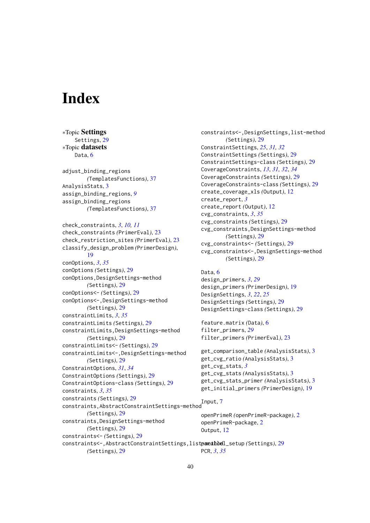# <span id="page-39-0"></span>Index

∗Topic Settings Settings, [29](#page-28-0) ∗Topic datasets Data, [6](#page-5-0) adjust\_binding\_regions *(*TemplatesFunctions*)*, [37](#page-36-0) AnalysisStats, [3](#page-2-0) assign\_binding\_regions, *[9](#page-8-0)* assign\_binding\_regions *(*TemplatesFunctions*)*, [37](#page-36-0) check\_constraints, *[3](#page-2-0)*, *[10,](#page-9-0) [11](#page-10-0)* check\_constraints *(*PrimerEval*)*, [23](#page-22-0) check\_restriction\_sites *(*PrimerEval*)*, [23](#page-22-0) classify\_design\_problem *(*PrimerDesign*)*, [19](#page-18-0) conOptions, *[3](#page-2-0)*, *[35](#page-34-0)* conOptions *(*Settings*)*, [29](#page-28-0) conOptions,DesignSettings-method *(*Settings*)*, [29](#page-28-0) conOptions<- *(*Settings*)*, [29](#page-28-0) conOptions<-,DesignSettings-method *(*Settings*)*, [29](#page-28-0) constraintLimits, *[3](#page-2-0)*, *[35](#page-34-0)* constraintLimits *(*Settings*)*, [29](#page-28-0) constraintLimits,DesignSettings-method *(*Settings*)*, [29](#page-28-0) constraintLimits<- *(*Settings*)*, [29](#page-28-0) constraintLimits<-,DesignSettings-method *(*Settings*)*, [29](#page-28-0) ConstraintOptions, *[31](#page-30-0)*, *[34](#page-33-0)* ConstraintOptions *(*Settings*)*, [29](#page-28-0) ConstraintOptions-class *(*Settings*)*, [29](#page-28-0) constraints, *[3](#page-2-0)*, *[35](#page-34-0)* constraints *(*Settings*)*, [29](#page-28-0) constraints,AbstractConstraintSettings-method Input, [7](#page-6-0) *(*Settings*)*, [29](#page-28-0) constraints,DesignSettings-method *(*Settings*)*, [29](#page-28-0) constraints<- *(*Settings*)*, [29](#page-28-0) Data, [6](#page-5-0)

constraints<-,DesignSettings,list-method *(*Settings*)*, [29](#page-28-0) ConstraintSettings, *[25](#page-24-0)*, *[31,](#page-30-0) [32](#page-31-0)* ConstraintSettings *(*Settings*)*, [29](#page-28-0) ConstraintSettings-class *(*Settings*)*, [29](#page-28-0) CoverageConstraints, *[13](#page-12-0)*, *[31,](#page-30-0) [32](#page-31-0)*, *[34](#page-33-0)* CoverageConstraints *(*Settings*)*, [29](#page-28-0) CoverageConstraints-class *(*Settings*)*, [29](#page-28-0) create\_coverage\_xls *(*Output*)*, [12](#page-11-0) create\_report, *[3](#page-2-0)* create\_report *(*Output*)*, [12](#page-11-0) cvg\_constraints, *[3](#page-2-0)*, *[35](#page-34-0)* cvg\_constraints *(*Settings*)*, [29](#page-28-0) cvg\_constraints,DesignSettings-method *(*Settings*)*, [29](#page-28-0) cvg\_constraints<- *(*Settings*)*, [29](#page-28-0) cvg\_constraints<-,DesignSettings-method *(*Settings*)*, [29](#page-28-0)

```
design_primers, 3, 29
design_primers (PrimerDesign), 19
DesignSettings, 3, 22, 25
DesignSettings (Settings), 29
DesignSettings-class (Settings), 29
```

```
feature.matrix (Data), 6
29
filter_primers (PrimerEval), 23
```

```
get_comparison_table (AnalysisStats), 3
get_cvg_ratio (AnalysisStats), 3
get_cvg_stats, 3
get_cvg_stats (AnalysisStats), 3
get_cvg_stats_primer (AnalysisStats), 3
get_initial_primers (PrimerDesign), 19
```
openPrimeR *(*openPrimeR-package*)*, [2](#page-1-0) openPrimeR-package, [2](#page-1-0) Output, [12](#page-11-0)

constraints<-,AbstractConstraintSettings,list-method parallel\_setup *(*Settings*)*, [29](#page-28-0) *(*Settings*)*, [29](#page-28-0) PCR, *[3](#page-2-0)*, *[35](#page-34-0)*